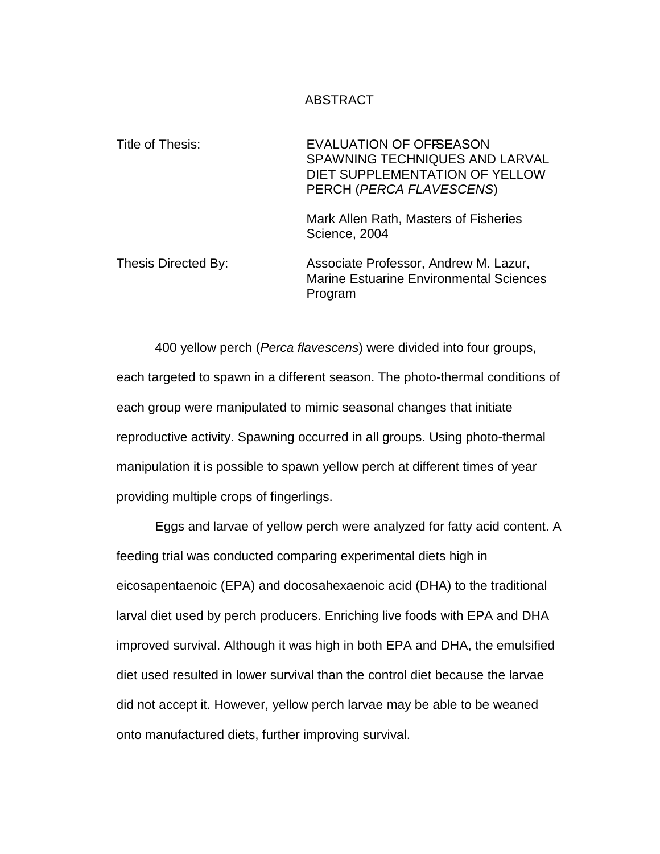### ABSTRACT

Title of Thesis: EVALUATION OF OFFSEASON SPAWNING TECHNIQUES AND LARVAL DIET SUPPLEMENTATION OF YELLOW PERCH (PERCA FLAVESCENS) Mark Allen Rath, Masters of Fisheries Science, 2004 Thesis Directed By: Associate Professor, Andrew M. Lazur, Marine Estuarine Environmental Sciences Program

400 yellow perch (Perca flavescens) were divided into four groups, each targeted to spawn in a different season. The photo-thermal conditions of each group were manipulated to mimic seasonal changes that initiate reproductive activity. Spawning occurred in all groups. Using photo-thermal manipulation it is possible to spawn yellow perch at different times of year providing multiple crops of fingerlings.

Eggs and larvae of yellow perch were analyzed for fatty acid content. A feeding trial was conducted comparing experimental diets high in eicosapentaenoic (EPA) and docosahexaenoic acid (DHA) to the traditional larval diet used by perch producers. Enriching live foods with EPA and DHA improved survival. Although it was high in both EPA and DHA, the emulsified diet used resulted in lower survival than the control diet because the larvae did not accept it. However, yellow perch larvae may be able to be weaned onto manufactured diets, further improving survival.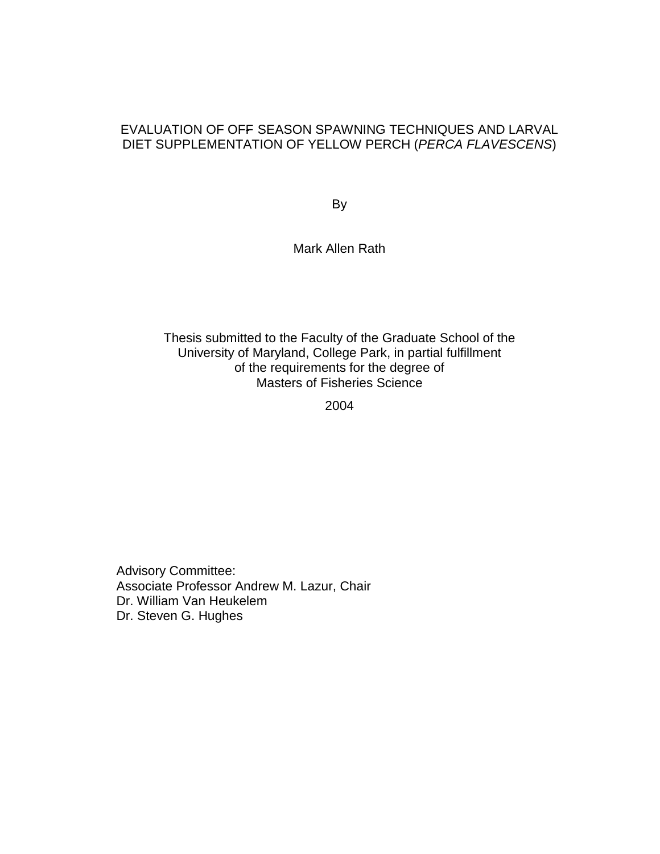### EVALUATION OF OFF SEASON SPAWNING TECHNIQUES AND LARVAL DIET SUPPLEMENTATION OF YELLOW PERCH (PERCA FLAVESCENS)

By

Mark Allen Rath

### Thesis submitted to the Faculty of the Graduate School of the University of Maryland, College Park, in partial fulfillment of the requirements for the degree of Masters of Fisheries Science

2004

Advisory Committee: Associate Professor Andrew M. Lazur, Chair Dr. William Van Heukelem Dr. Steven G. Hughes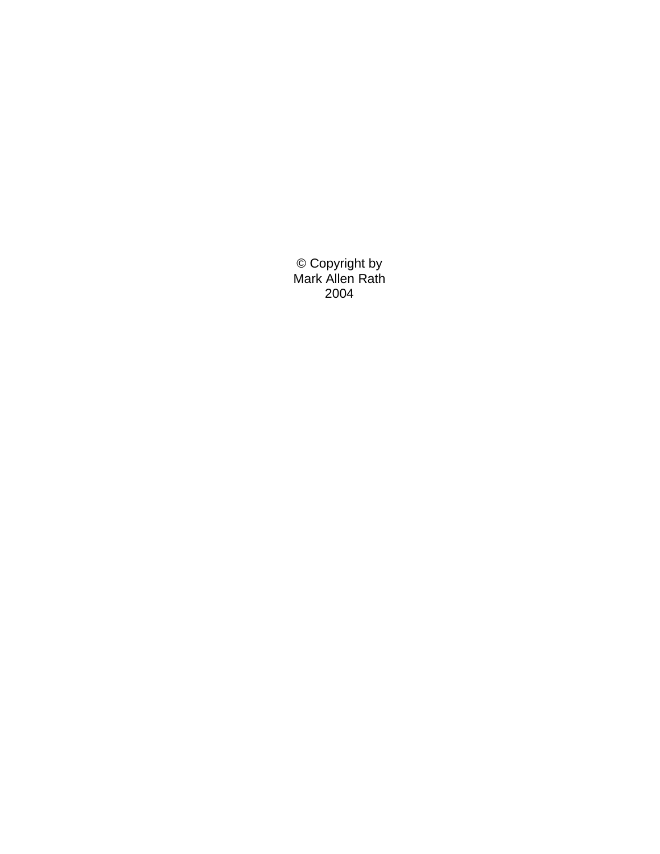© Copyright by Mark Allen Rath 2004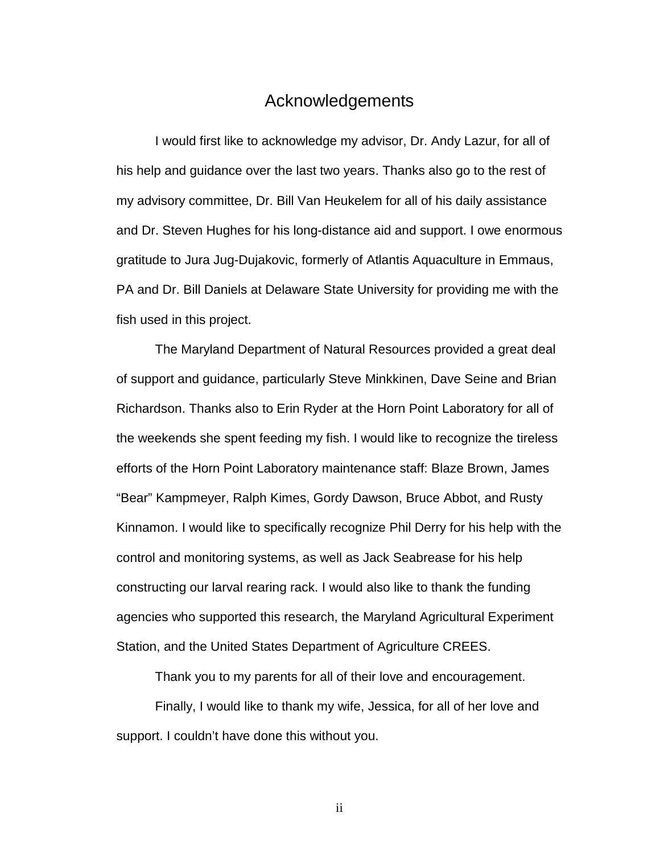### Acknowledgements

I would first like to acknowledge my advisor, Dr. Andy Lazur, for all of his help and guidance over the last two years. Thanks also go to the rest of my advisory committee, Dr. Bill Van Heukelem for all of his daily assistance and Dr. Steven Hughes for his long-distance aid and support. I owe enormous gratitude to Jura Jug-Dujakovic, formerly of Atlantis Aquaculture in Emmaus, PA and Dr. Bill Daniels at Delaware State University for providing me with the fish used in this project.

The Maryland Department of Natural Resources provided a great deal of support and guidance, particularly Steve Minkkinen, Dave Seine and Brian Richardson. Thanks also to Erin Ryder at the Horn Point Laboratory for all of the weekends she spent feeding my fish. I would like to recognize the tireless efforts of the Horn Point Laboratory maintenance staff: Blaze Brown, James "Bear" Kampmeyer, Ralph Kimes, Gordy Dawson, Bruce Abbot, and Rusty Kinnamon. I would like to specifically recognize Phil Derry for his help with the control and monitoring systems, as well as Jack Seabrease for his help constructing our larval rearing rack. I would also like to thank the funding agencies who supported this research, the Maryland Agricultural Experiment Station, and the United States Department of Agriculture CREES.

Thank you to my parents for all of their love and encouragement.

Finally, I would like to thank my wife, Jessica, for all of her love and support. I couldn't have done this without you.

ii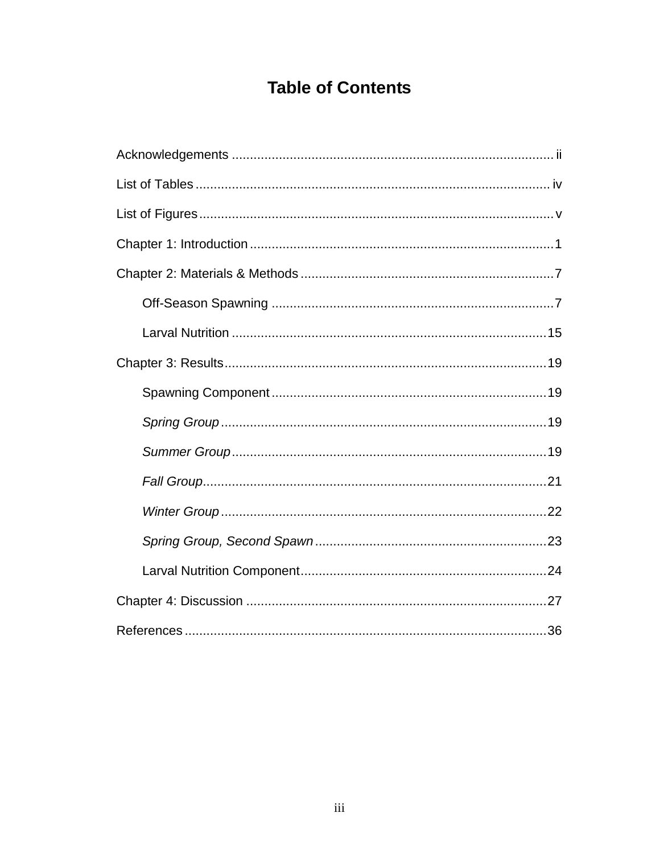# **Table of Contents**

| List of Figures……………………………………………………………………………………… v |
|----------------------------------------------------|
|                                                    |
|                                                    |
|                                                    |
|                                                    |
|                                                    |
|                                                    |
|                                                    |
|                                                    |
|                                                    |
|                                                    |
|                                                    |
|                                                    |
|                                                    |
|                                                    |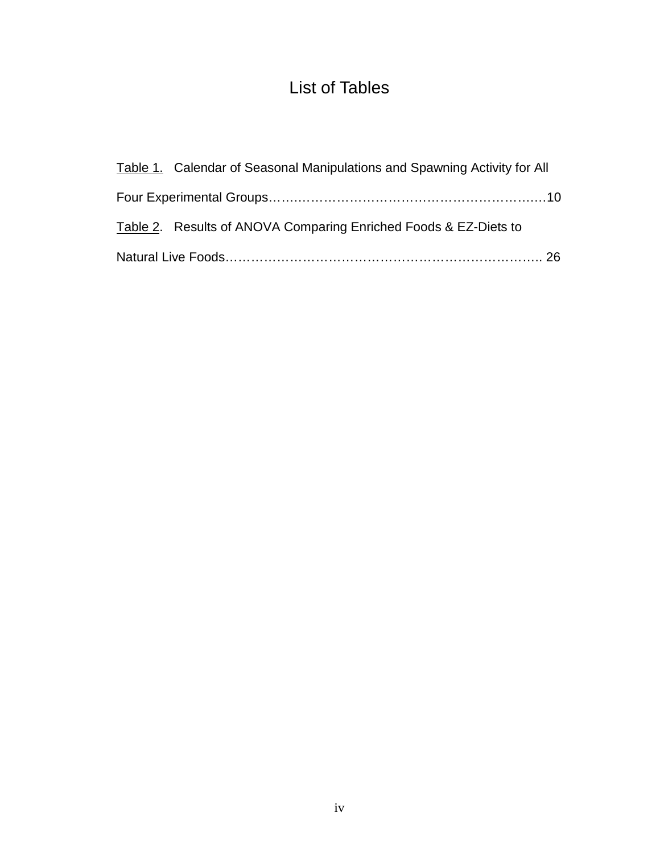# List of Tables

| Table 1. Calendar of Seasonal Manipulations and Spawning Activity for All |  |
|---------------------------------------------------------------------------|--|
|                                                                           |  |
| Table 2. Results of ANOVA Comparing Enriched Foods & EZ-Diets to          |  |
|                                                                           |  |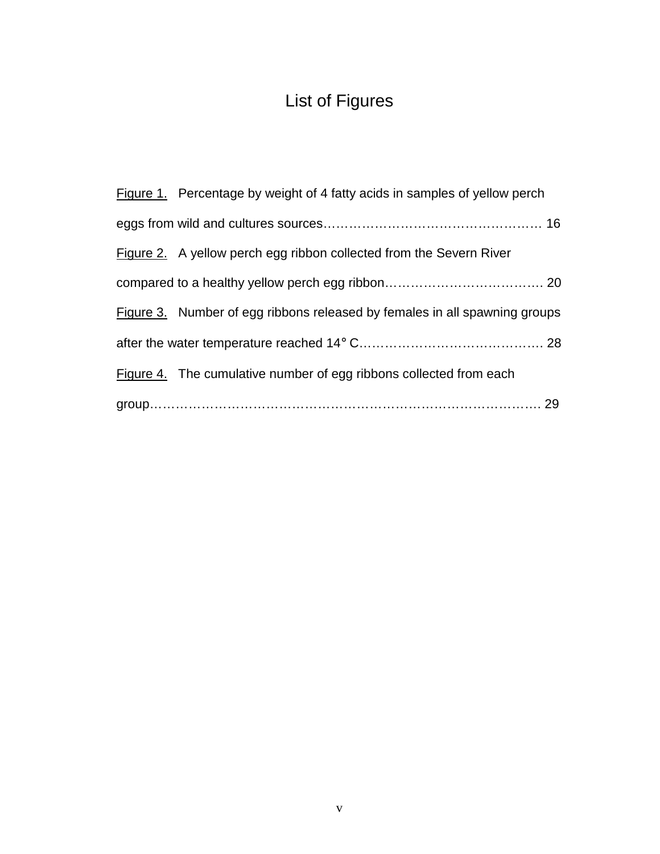# List of Figures

| Figure 1. Percentage by weight of 4 fatty acids in samples of yellow perch |
|----------------------------------------------------------------------------|
|                                                                            |
| Figure 2. A yellow perch egg ribbon collected from the Severn River        |
|                                                                            |
| Figure 3. Number of egg ribbons released by females in all spawning groups |
|                                                                            |
| Figure 4. The cumulative number of egg ribbons collected from each         |
|                                                                            |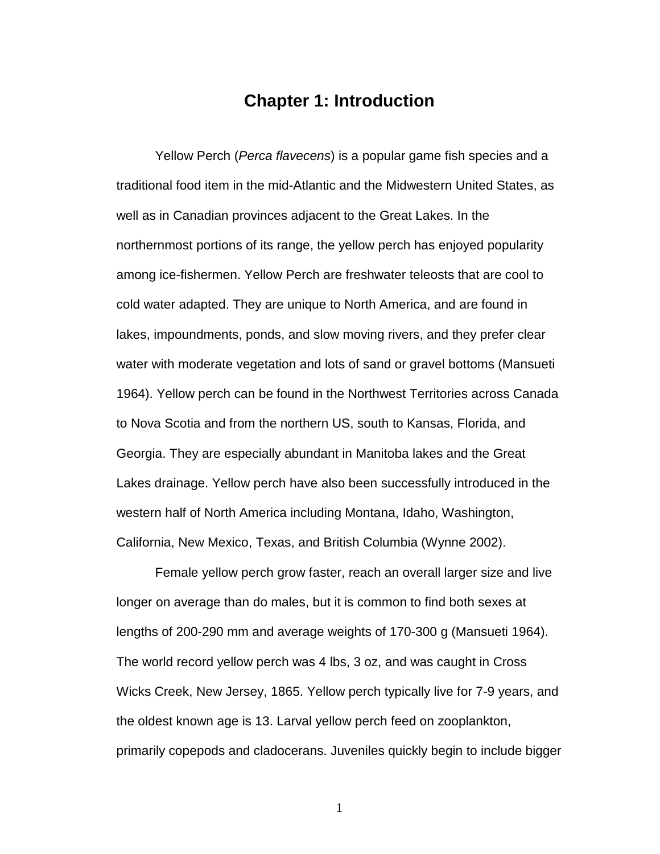### **Chapter 1: Introduction**

Yellow Perch (Perca flavecens) is a popular game fish species and a traditional food item in the mid-Atlantic and the Midwestern United States, as well as in Canadian provinces adjacent to the Great Lakes. In the northernmost portions of its range, the yellow perch has enjoyed popularity among ice-fishermen. Yellow Perch are freshwater teleosts that are cool to cold water adapted. They are unique to North America, and are found in lakes, impoundments, ponds, and slow moving rivers, and they prefer clear water with moderate vegetation and lots of sand or gravel bottoms (Mansueti 1964). Yellow perch can be found in the Northwest Territories across Canada to Nova Scotia and from the northern US, south to Kansas, Florida, and Georgia. They are especially abundant in Manitoba lakes and the Great Lakes drainage. Yellow perch have also been successfully introduced in the western half of North America including Montana, Idaho, Washington, California, New Mexico, Texas, and British Columbia (Wynne 2002).

Female yellow perch grow faster, reach an overall larger size and live longer on average than do males, but it is common to find both sexes at lengths of 200-290 mm and average weights of 170-300 g (Mansueti 1964). The world record yellow perch was 4 lbs, 3 oz, and was caught in Cross Wicks Creek, New Jersey, 1865. Yellow perch typically live for 7-9 years, and the oldest known age is 13. Larval yellow perch feed on zooplankton, primarily copepods and cladocerans. Juveniles quickly begin to include bigger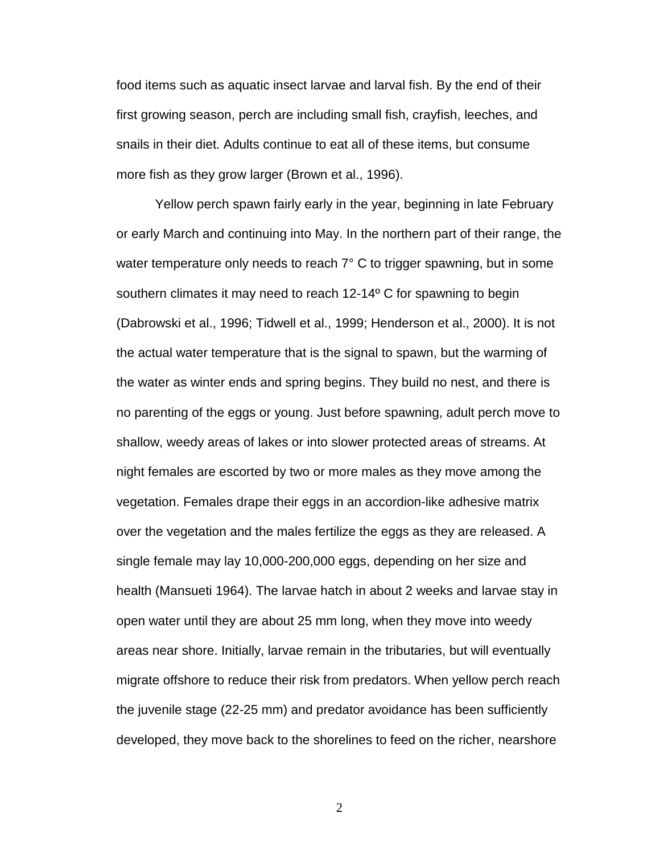food items such as aquatic insect larvae and larval fish. By the end of their first growing season, perch are including small fish, crayfish, leeches, and snails in their diet. Adults continue to eat all of these items, but consume more fish as they grow larger (Brown et al., 1996).

Yellow perch spawn fairly early in the year, beginning in late February or early March and continuing into May. In the northern part of their range, the water temperature only needs to reach 7° C to trigger spawning, but in some southern climates it may need to reach 12-14º C for spawning to begin (Dabrowski et al., 1996; Tidwell et al., 1999; Henderson et al., 2000). It is not the actual water temperature that is the signal to spawn, but the warming of the water as winter ends and spring begins. They build no nest, and there is no parenting of the eggs or young. Just before spawning, adult perch move to shallow, weedy areas of lakes or into slower protected areas of streams. At night females are escorted by two or more males as they move among the vegetation. Females drape their eggs in an accordion-like adhesive matrix over the vegetation and the males fertilize the eggs as they are released. A single female may lay 10,000-200,000 eggs, depending on her size and health (Mansueti 1964). The larvae hatch in about 2 weeks and larvae stay in open water until they are about 25 mm long, when they move into weedy areas near shore. Initially, larvae remain in the tributaries, but will eventually migrate offshore to reduce their risk from predators. When yellow perch reach the juvenile stage (22-25 mm) and predator avoidance has been sufficiently developed, they move back to the shorelines to feed on the richer, nearshore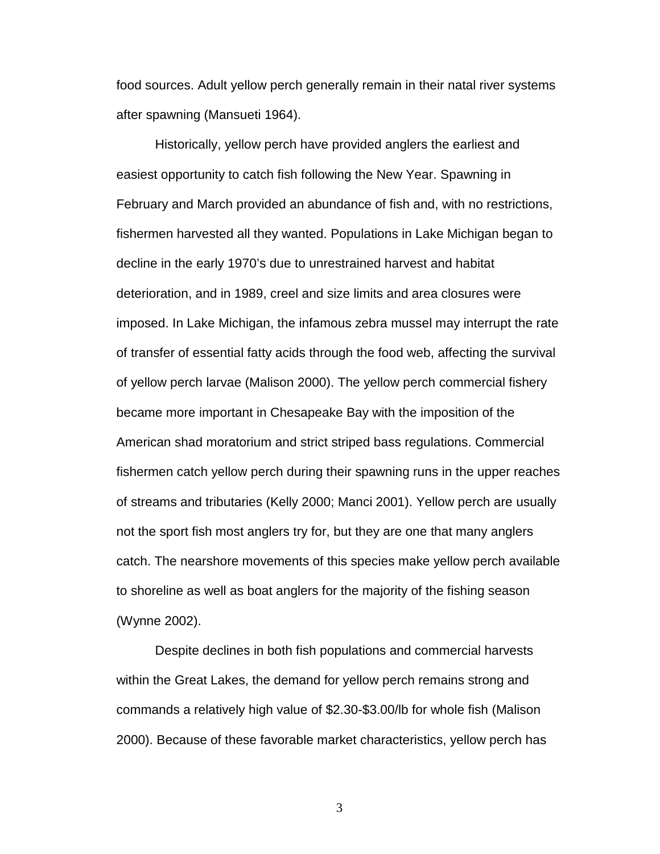food sources. Adult yellow perch generally remain in their natal river systems after spawning (Mansueti 1964).

Historically, yellow perch have provided anglers the earliest and easiest opportunity to catch fish following the New Year. Spawning in February and March provided an abundance of fish and, with no restrictions, fishermen harvested all they wanted. Populations in Lake Michigan began to decline in the early 1970's due to unrestrained harvest and habitat deterioration, and in 1989, creel and size limits and area closures were imposed. In Lake Michigan, the infamous zebra mussel may interrupt the rate of transfer of essential fatty acids through the food web, affecting the survival of yellow perch larvae (Malison 2000). The yellow perch commercial fishery became more important in Chesapeake Bay with the imposition of the American shad moratorium and strict striped bass regulations. Commercial fishermen catch yellow perch during their spawning runs in the upper reaches of streams and tributaries (Kelly 2000; Manci 2001). Yellow perch are usually not the sport fish most anglers try for, but they are one that many anglers catch. The nearshore movements of this species make yellow perch available to shoreline as well as boat anglers for the majority of the fishing season (Wynne 2002).

Despite declines in both fish populations and commercial harvests within the Great Lakes, the demand for yellow perch remains strong and commands a relatively high value of \$2.30-\$3.00/lb for whole fish (Malison 2000). Because of these favorable market characteristics, yellow perch has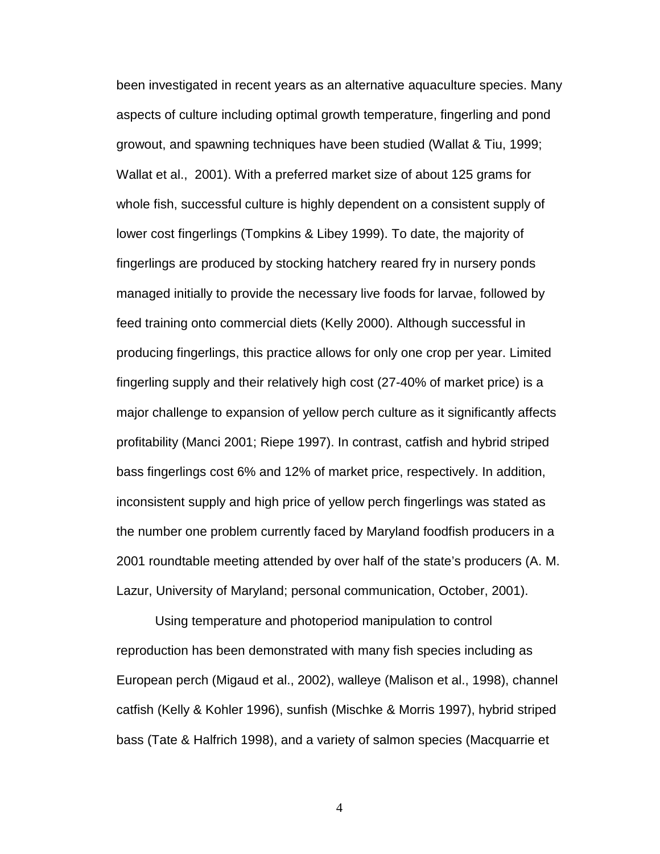been investigated in recent years as an alternative aquaculture species. Many aspects of culture including optimal growth temperature, fingerling and pond growout, and spawning techniques have been studied (Wallat & Tiu, 1999; Wallat et al., 2001). With a preferred market size of about 125 grams for whole fish, successful culture is highly dependent on a consistent supply of lower cost fingerlings (Tompkins & Libey 1999). To date, the majority of fingerlings are produced by stocking hatchery reared fry in nursery ponds managed initially to provide the necessary live foods for larvae, followed by feed training onto commercial diets (Kelly 2000). Although successful in producing fingerlings, this practice allows for only one crop per year. Limited fingerling supply and their relatively high cost (27-40% of market price) is a major challenge to expansion of yellow perch culture as it significantly affects profitability (Manci 2001; Riepe 1997). In contrast, catfish and hybrid striped bass fingerlings cost 6% and 12% of market price, respectively. In addition, inconsistent supply and high price of yellow perch fingerlings was stated as the number one problem currently faced by Maryland foodfish producers in a 2001 roundtable meeting attended by over half of the state's producers (A. M. Lazur, University of Maryland; personal communication, October, 2001).

Using temperature and photoperiod manipulation to control reproduction has been demonstrated with many fish species including as European perch (Migaud et al., 2002), walleye (Malison et al., 1998), channel catfish (Kelly & Kohler 1996), sunfish (Mischke & Morris 1997), hybrid striped bass (Tate & Halfrich 1998), and a variety of salmon species (Macquarrie et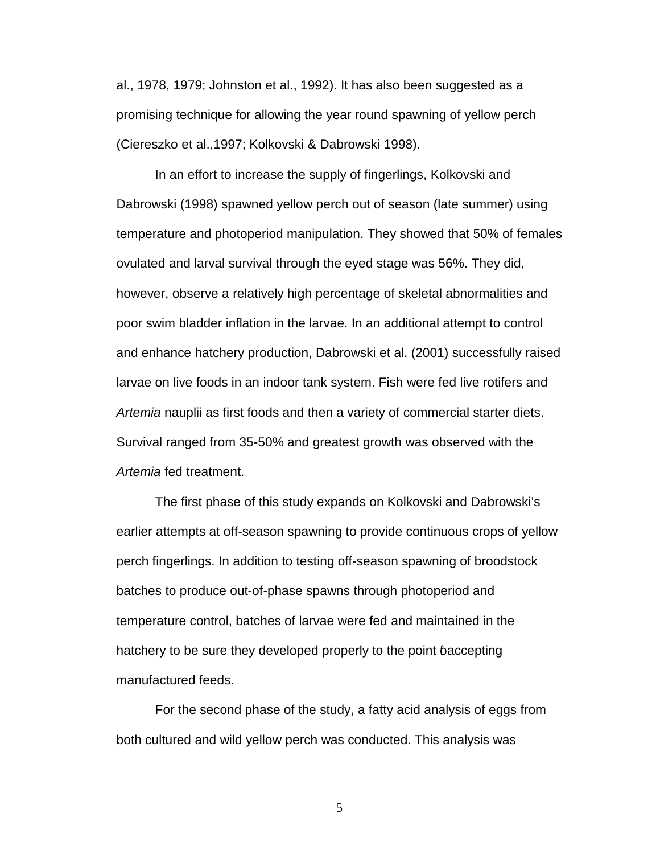al., 1978, 1979; Johnston et al., 1992). It has also been suggested as a promising technique for allowing the year round spawning of yellow perch (Ciereszko et al.,1997; Kolkovski & Dabrowski 1998).

In an effort to increase the supply of fingerlings, Kolkovski and Dabrowski (1998) spawned yellow perch out of season (late summer) using temperature and photoperiod manipulation. They showed that 50% of females ovulated and larval survival through the eyed stage was 56%. They did, however, observe a relatively high percentage of skeletal abnormalities and poor swim bladder inflation in the larvae. In an additional attempt to control and enhance hatchery production, Dabrowski et al. (2001) successfully raised larvae on live foods in an indoor tank system. Fish were fed live rotifers and Artemia nauplii as first foods and then a variety of commercial starter diets. Survival ranged from 35-50% and greatest growth was observed with the Artemia fed treatment.

The first phase of this study expands on Kolkovski and Dabrowski's earlier attempts at off-season spawning to provide continuous crops of yellow perch fingerlings. In addition to testing off-season spawning of broodstock batches to produce out-of-phase spawns through photoperiod and temperature control, batches of larvae were fed and maintained in the hatchery to be sure they developed properly to the point baccepting manufactured feeds.

For the second phase of the study, a fatty acid analysis of eggs from both cultured and wild yellow perch was conducted. This analysis was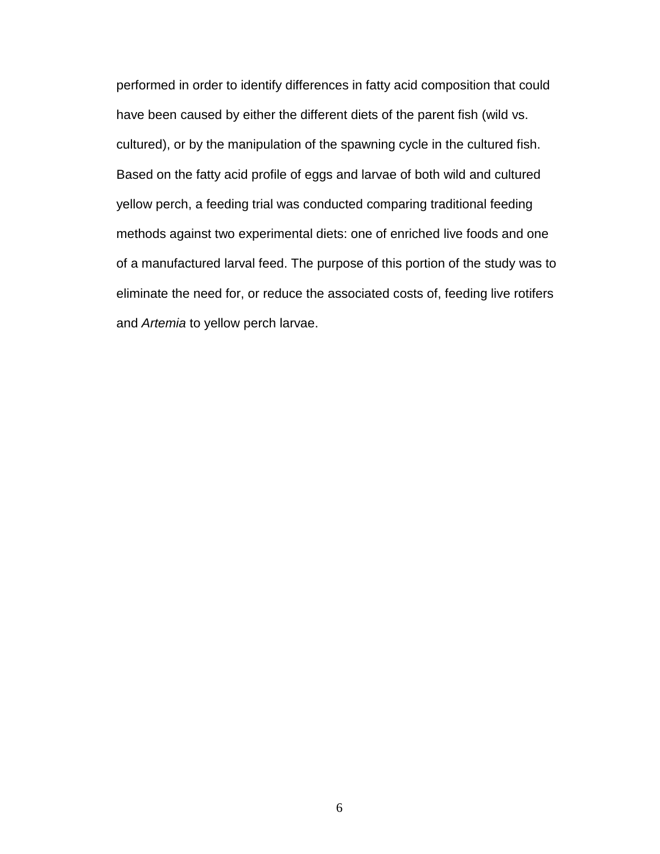performed in order to identify differences in fatty acid composition that could have been caused by either the different diets of the parent fish (wild vs. cultured), or by the manipulation of the spawning cycle in the cultured fish. Based on the fatty acid profile of eggs and larvae of both wild and cultured yellow perch, a feeding trial was conducted comparing traditional feeding methods against two experimental diets: one of enriched live foods and one of a manufactured larval feed. The purpose of this portion of the study was to eliminate the need for, or reduce the associated costs of, feeding live rotifers and Artemia to yellow perch larvae.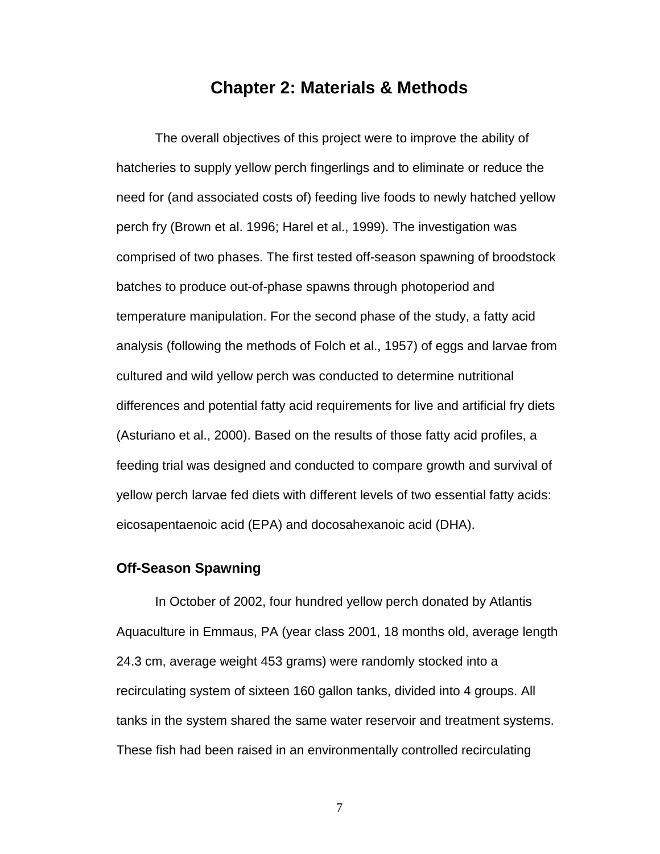### **Chapter 2: Materials & Methods**

The overall objectives of this project were to improve the ability of hatcheries to supply yellow perch fingerlings and to eliminate or reduce the need for (and associated costs of) feeding live foods to newly hatched yellow perch fry (Brown et al. 1996; Harel et al., 1999). The investigation was comprised of two phases. The first tested off-season spawning of broodstock batches to produce out-of-phase spawns through photoperiod and temperature manipulation. For the second phase of the study, a fatty acid analysis (following the methods of Folch et al., 1957) of eggs and larvae from cultured and wild yellow perch was conducted to determine nutritional differences and potential fatty acid requirements for live and artificial fry diets (Asturiano et al., 2000). Based on the results of those fatty acid profiles, a feeding trial was designed and conducted to compare growth and survival of yellow perch larvae fed diets with different levels of two essential fatty acids: eicosapentaenoic acid (EPA) and docosahexanoic acid (DHA).

### **Off-Season Spawning**

In October of 2002, four hundred yellow perch donated by Atlantis Aquaculture in Emmaus, PA (year class 2001, 18 months old, average length 24.3 cm, average weight 453 grams) were randomly stocked into a recirculating system of sixteen 160 gallon tanks, divided into 4 groups. All tanks in the system shared the same water reservoir and treatment systems. These fish had been raised in an environmentally controlled recirculating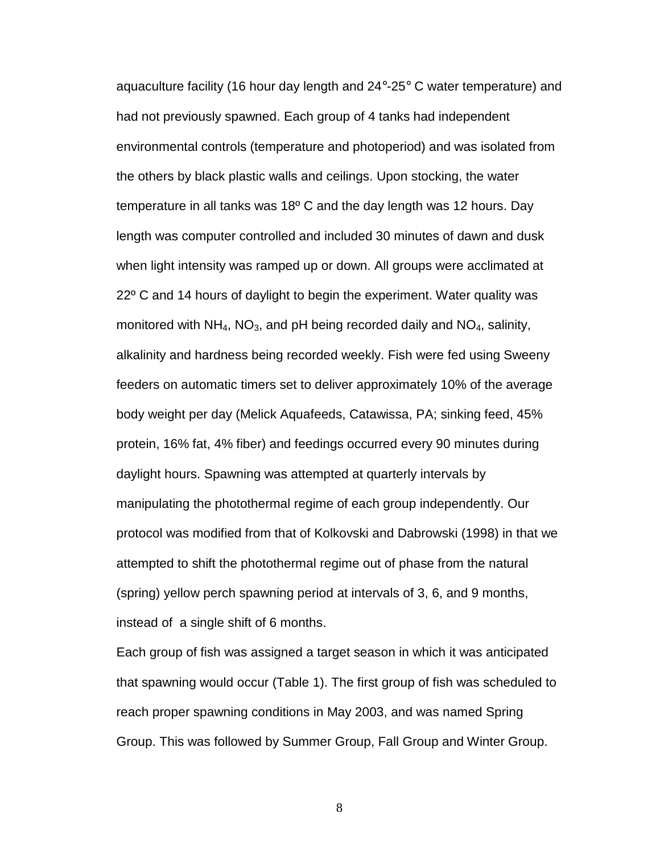aquaculture facility (16 hour day length and 24°-25° C water temperature) and had not previously spawned. Each group of 4 tanks had independent environmental controls (temperature and photoperiod) and was isolated from the others by black plastic walls and ceilings. Upon stocking, the water temperature in all tanks was 18º C and the day length was 12 hours. Day length was computer controlled and included 30 minutes of dawn and dusk when light intensity was ramped up or down. All groups were acclimated at 22º C and 14 hours of daylight to begin the experiment. Water quality was monitored with  $NH_4$ , NO<sub>3</sub>, and pH being recorded daily and  $NO_4$ , salinity, alkalinity and hardness being recorded weekly. Fish were fed using Sweeny feeders on automatic timers set to deliver approximately 10% of the average body weight per day (Melick Aquafeeds, Catawissa, PA; sinking feed, 45% protein, 16% fat, 4% fiber) and feedings occurred every 90 minutes during daylight hours. Spawning was attempted at quarterly intervals by manipulating the photothermal regime of each group independently. Our protocol was modified from that of Kolkovski and Dabrowski (1998) in that we attempted to shift the photothermal regime out of phase from the natural (spring) yellow perch spawning period at intervals of 3, 6, and 9 months, instead of a single shift of 6 months.

Each group of fish was assigned a target season in which it was anticipated that spawning would occur (Table 1). The first group of fish was scheduled to reach proper spawning conditions in May 2003, and was named Spring Group. This was followed by Summer Group, Fall Group and Winter Group.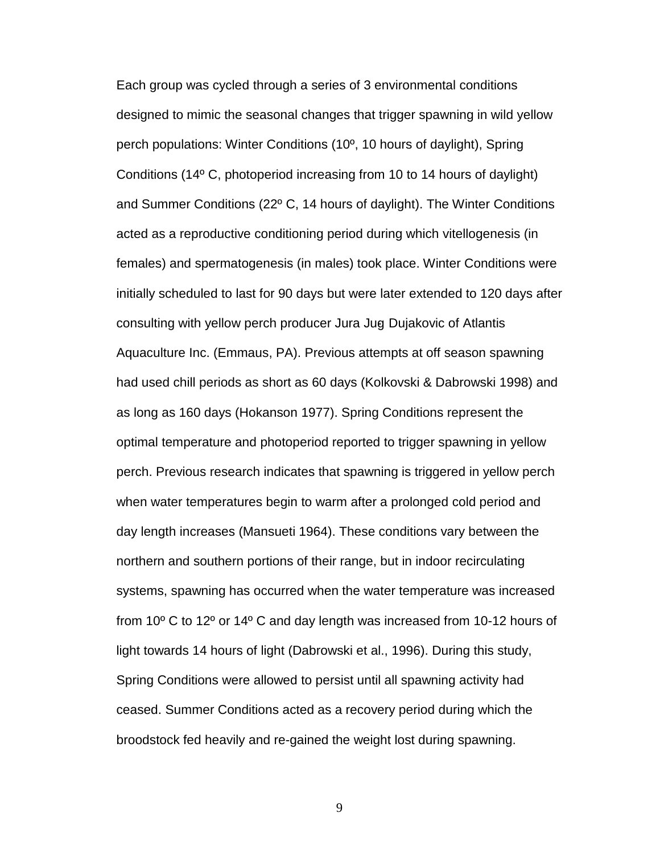Each group was cycled through a series of 3 environmental conditions designed to mimic the seasonal changes that trigger spawning in wild yellow perch populations: Winter Conditions (10º, 10 hours of daylight), Spring Conditions (14º C, photoperiod increasing from 10 to 14 hours of daylight) and Summer Conditions (22º C, 14 hours of daylight). The Winter Conditions acted as a reproductive conditioning period during which vitellogenesis (in females) and spermatogenesis (in males) took place. Winter Conditions were initially scheduled to last for 90 days but were later extended to 120 days after consulting with yellow perch producer Jura Jug- Dujakovic of Atlantis Aquaculture Inc. (Emmaus, PA). Previous attempts at off season spawning had used chill periods as short as 60 days (Kolkovski & Dabrowski 1998) and as long as 160 days (Hokanson 1977). Spring Conditions represent the optimal temperature and photoperiod reported to trigger spawning in yellow perch. Previous research indicates that spawning is triggered in yellow perch when water temperatures begin to warm after a prolonged cold period and day length increases (Mansueti 1964). These conditions vary between the northern and southern portions of their range, but in indoor recirculating systems, spawning has occurred when the water temperature was increased from 10º C to 12º or 14º C and day length was increased from 10-12 hours of light towards 14 hours of light (Dabrowski et al., 1996). During this study, Spring Conditions were allowed to persist until all spawning activity had ceased. Summer Conditions acted as a recovery period during which the broodstock fed heavily and re-gained the weight lost during spawning.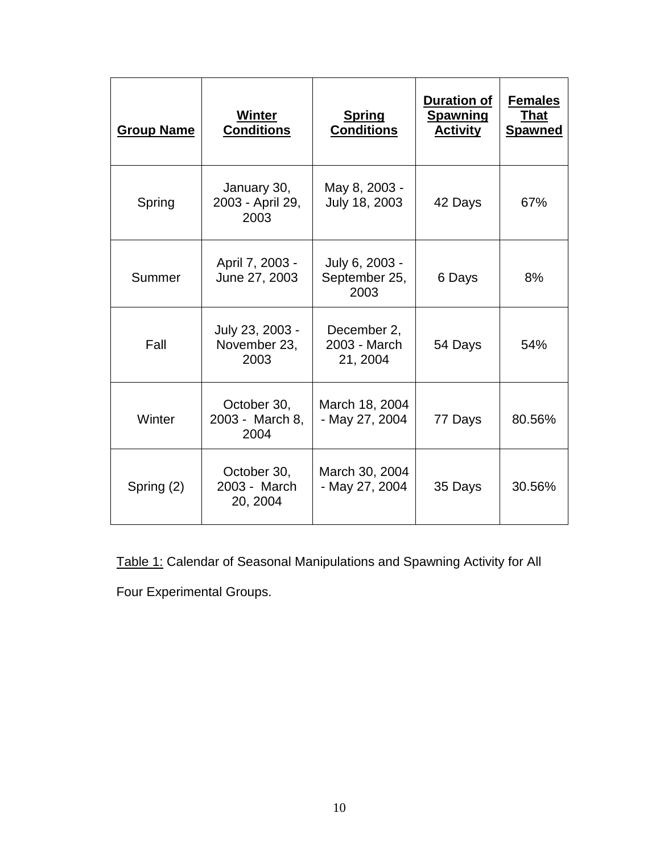| <b>Group Name</b>                               | <b>Winter</b><br><b>Conditions</b>      | <b>Spring</b><br><b>Conditions</b>                | <b>Duration of</b><br><b>Spawning</b><br><b>Activity</b> | <b>Females</b><br><b>That</b><br><b>Spawned</b> |
|-------------------------------------------------|-----------------------------------------|---------------------------------------------------|----------------------------------------------------------|-------------------------------------------------|
| Spring                                          | January 30,<br>2003 - April 29,<br>2003 | May 8, 2003 -<br>July 18, 2003                    | 42 Days                                                  | 67%                                             |
| Summer                                          | April 7, 2003 -<br>June 27, 2003        | July 6, 2003 -<br>September 25,<br>6 Days<br>2003 |                                                          | 8%                                              |
| July 23, 2003 -<br>Fall<br>November 23,<br>2003 |                                         | December 2,<br>2003 - March<br>21, 2004           | 54 Days                                                  | 54%                                             |
| Winter                                          | October 30,<br>2003 - March 8,<br>2004  | March 18, 2004<br>- May 27, 2004                  | 77 Days                                                  | 80.56%                                          |
| Spring (2)                                      | October 30,<br>2003 - March<br>20, 2004 | March 30, 2004<br>- May 27, 2004                  | 35 Days                                                  | 30.56%                                          |

Table 1: Calendar of Seasonal Manipulations and Spawning Activity for All

Four Experimental Groups.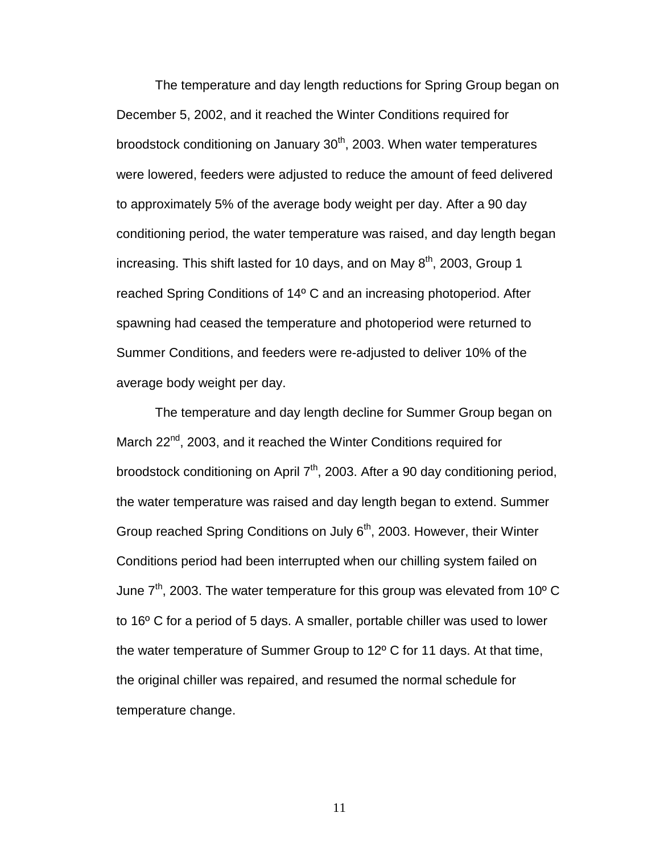The temperature and day length reductions for Spring Group began on December 5, 2002, and it reached the Winter Conditions required for broodstock conditioning on January 30<sup>th</sup>, 2003. When water temperatures were lowered, feeders were adjusted to reduce the amount of feed delivered to approximately 5% of the average body weight per day. After a 90 day conditioning period, the water temperature was raised, and day length began increasing. This shift lasted for 10 days, and on May  $8<sup>th</sup>$ , 2003, Group 1 reached Spring Conditions of 14º C and an increasing photoperiod. After spawning had ceased the temperature and photoperiod were returned to Summer Conditions, and feeders were re-adjusted to deliver 10% of the average body weight per day.

The temperature and day length decline for Summer Group began on March 22<sup>nd</sup>, 2003, and it reached the Winter Conditions required for broodstock conditioning on April  $7<sup>th</sup>$ , 2003. After a 90 day conditioning period, the water temperature was raised and day length began to extend. Summer Group reached Spring Conditions on July 6<sup>th</sup>, 2003. However, their Winter Conditions period had been interrupted when our chilling system failed on June  $7<sup>th</sup>$ , 2003. The water temperature for this group was elevated from 10<sup>o</sup> C to 16º C for a period of 5 days. A smaller, portable chiller was used to lower the water temperature of Summer Group to 12º C for 11 days. At that time, the original chiller was repaired, and resumed the normal schedule for temperature change.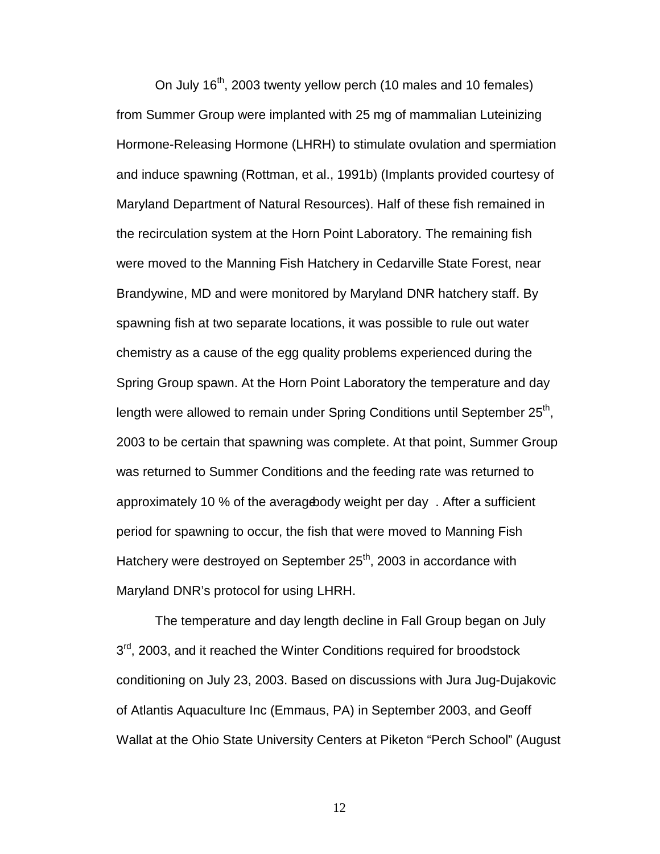On July 16<sup>th</sup>, 2003 twenty yellow perch (10 males and 10 females) from Summer Group were implanted with 25 mg of mammalian Luteinizing Hormone-Releasing Hormone (LHRH) to stimulate ovulation and spermiation and induce spawning (Rottman, et al., 1991b) (Implants provided courtesy of Maryland Department of Natural Resources). Half of these fish remained in the recirculation system at the Horn Point Laboratory. The remaining fish were moved to the Manning Fish Hatchery in Cedarville State Forest, near Brandywine, MD and were monitored by Maryland DNR hatchery staff. By spawning fish at two separate locations, it was possible to rule out water chemistry as a cause of the egg quality problems experienced during the Spring Group spawn. At the Horn Point Laboratory the temperature and day length were allowed to remain under Spring Conditions until September  $25<sup>th</sup>$ , 2003 to be certain that spawning was complete. At that point, Summer Group was returned to Summer Conditions and the feeding rate was returned to approximately 10 % of the averagebody weight per day. After a sufficient period for spawning to occur, the fish that were moved to Manning Fish Hatchery were destroyed on September 25<sup>th</sup>, 2003 in accordance with Maryland DNR's protocol for using LHRH.

The temperature and day length decline in Fall Group began on July  $3<sup>rd</sup>$ , 2003, and it reached the Winter Conditions required for broodstock conditioning on July 23, 2003. Based on discussions with Jura Jug-Dujakovic of Atlantis Aquaculture Inc (Emmaus, PA) in September 2003, and Geoff Wallat at the Ohio State University Centers at Piketon "Perch School" (August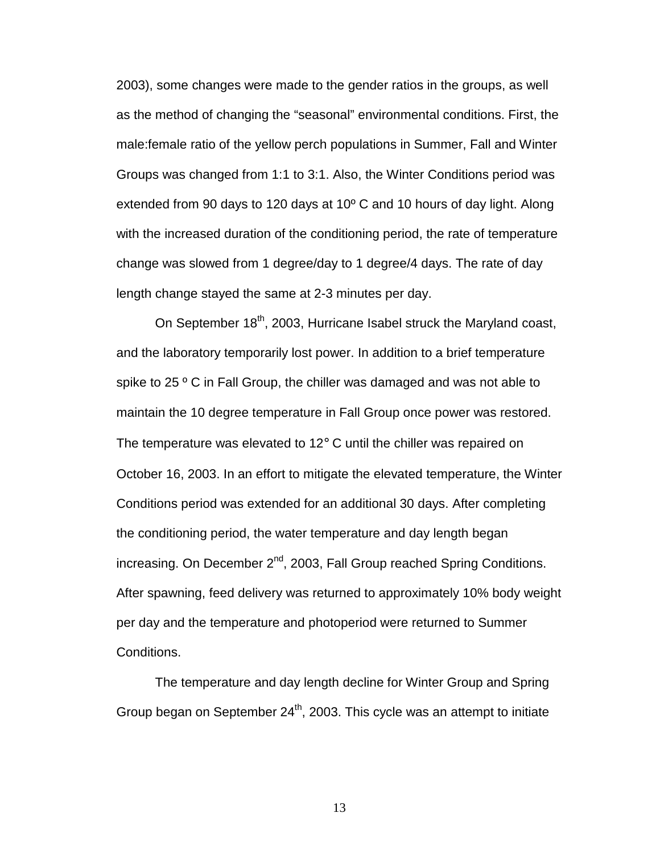2003), some changes were made to the gender ratios in the groups, as well as the method of changing the "seasonal" environmental conditions. First, the male:female ratio of the yellow perch populations in Summer, Fall and Winter Groups was changed from 1:1 to 3:1. Also, the Winter Conditions period was extended from 90 days to 120 days at 10º C and 10 hours of day light. Along with the increased duration of the conditioning period, the rate of temperature change was slowed from 1 degree/day to 1 degree/4 days. The rate of day length change stayed the same at 2-3 minutes per day.

On September 18<sup>th</sup>, 2003, Hurricane Isabel struck the Maryland coast, and the laboratory temporarily lost power. In addition to a brief temperature spike to 25 ° C in Fall Group, the chiller was damaged and was not able to maintain the 10 degree temperature in Fall Group once power was restored. The temperature was elevated to 12° C until the chiller was repaired on October 16, 2003. In an effort to mitigate the elevated temperature, the Winter Conditions period was extended for an additional 30 days. After completing the conditioning period, the water temperature and day length began increasing. On December  $2^{nd}$ , 2003, Fall Group reached Spring Conditions. After spawning, feed delivery was returned to approximately 10% body weight per day and the temperature and photoperiod were returned to Summer Conditions.

The temperature and day length decline for Winter Group and Spring Group began on September 24<sup>th</sup>, 2003. This cycle was an attempt to initiate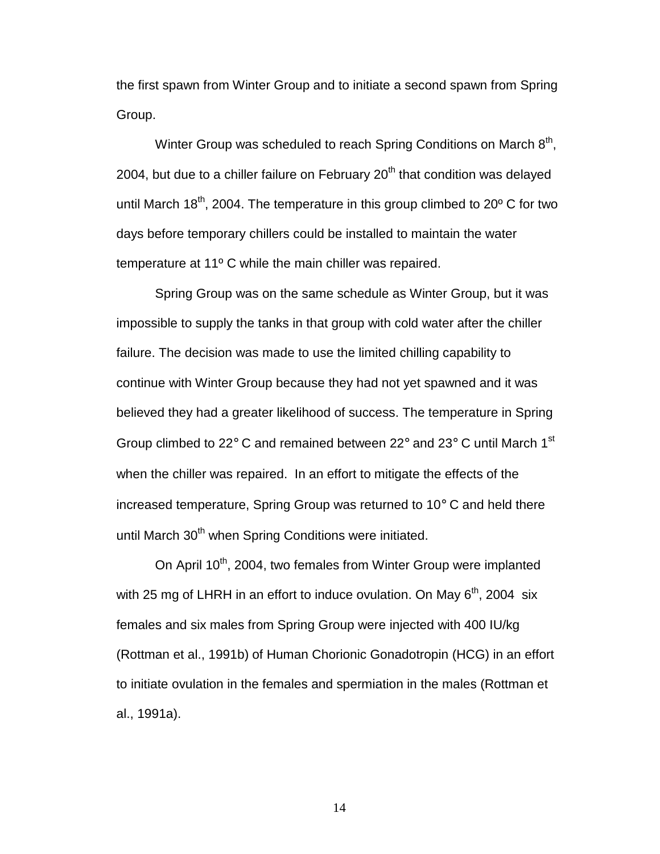the first spawn from Winter Group and to initiate a second spawn from Spring Group.

Winter Group was scheduled to reach Spring Conditions on March  $8<sup>th</sup>$ , 2004, but due to a chiller failure on February  $20<sup>th</sup>$  that condition was delayed until March 18<sup>th</sup>, 2004. The temperature in this group climbed to 20 $\degree$  C for two days before temporary chillers could be installed to maintain the water temperature at 11º C while the main chiller was repaired.

Spring Group was on the same schedule as Winter Group, but it was impossible to supply the tanks in that group with cold water after the chiller failure. The decision was made to use the limited chilling capability to continue with Winter Group because they had not yet spawned and it was believed they had a greater likelihood of success. The temperature in Spring Group climbed to 22° C and remained between 22° and 23° C until March 1<sup>st</sup> when the chiller was repaired. In an effort to mitigate the effects of the increased temperature, Spring Group was returned to 10° C and held there until March 30<sup>th</sup> when Spring Conditions were initiated.

On April 10<sup>th</sup>, 2004, two females from Winter Group were implanted with 25 mg of LHRH in an effort to induce ovulation. On May  $6<sup>th</sup>$ , 2004 six females and six males from Spring Group were injected with 400 IU/kg (Rottman et al., 1991b) of Human Chorionic Gonadotropin (HCG) in an effort to initiate ovulation in the females and spermiation in the males (Rottman et al., 1991a).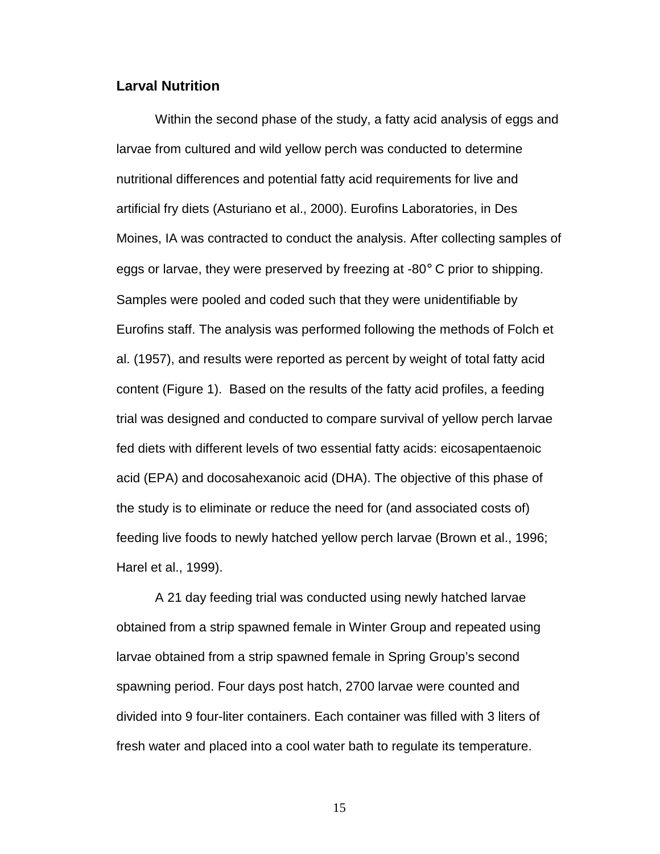### **Larval Nutrition**

Within the second phase of the study, a fatty acid analysis of eggs and larvae from cultured and wild yellow perch was conducted to determine nutritional differences and potential fatty acid requirements for live and artificial fry diets (Asturiano et al., 2000). Eurofins Laboratories, in Des Moines, IA was contracted to conduct the analysis. After collecting samples of eggs or larvae, they were preserved by freezing at -80° C prior to shipping. Samples were pooled and coded such that they were unidentifiable by Eurofins staff. The analysis was performed following the methods of Folch et al. (1957), and results were reported as percent by weight of total fatty acid content (Figure 1). Based on the results of the fatty acid profiles, a feeding trial was designed and conducted to compare survival of yellow perch larvae fed diets with different levels of two essential fatty acids: eicosapentaenoic acid (EPA) and docosahexanoic acid (DHA). The objective of this phase of the study is to eliminate or reduce the need for (and associated costs of) feeding live foods to newly hatched yellow perch larvae (Brown et al., 1996; Harel et al., 1999).

A 21 day feeding trial was conducted using newly hatched larvae obtained from a strip spawned female in Winter Group and repeated using larvae obtained from a strip spawned female in Spring Group's second spawning period. Four days post hatch, 2700 larvae were counted and divided into 9 four-liter containers. Each container was filled with 3 liters of fresh water and placed into a cool water bath to regulate its temperature.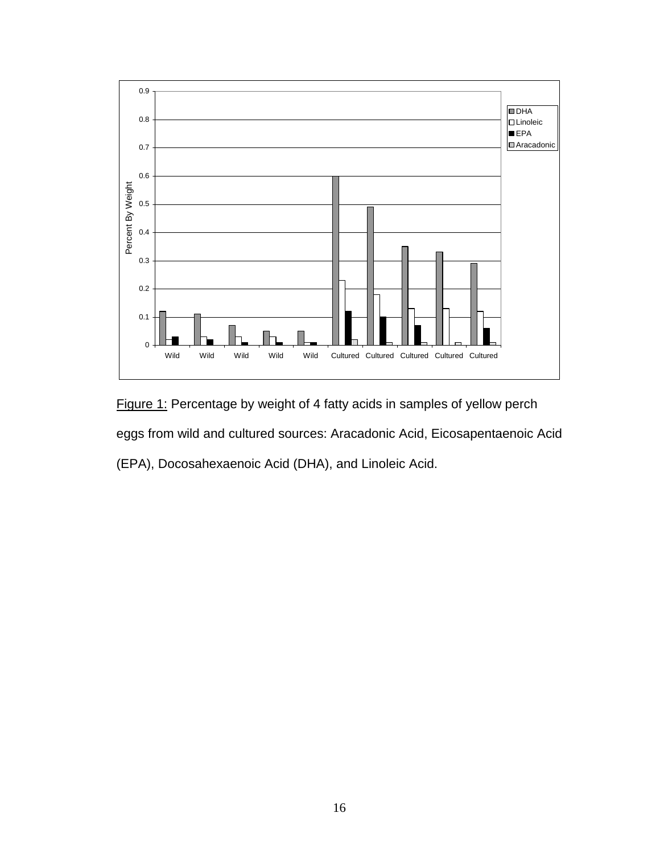

Figure 1: Percentage by weight of 4 fatty acids in samples of yellow perch eggs from wild and cultured sources: Aracadonic Acid, Eicosapentaenoic Acid (EPA), Docosahexaenoic Acid (DHA), and Linoleic Acid.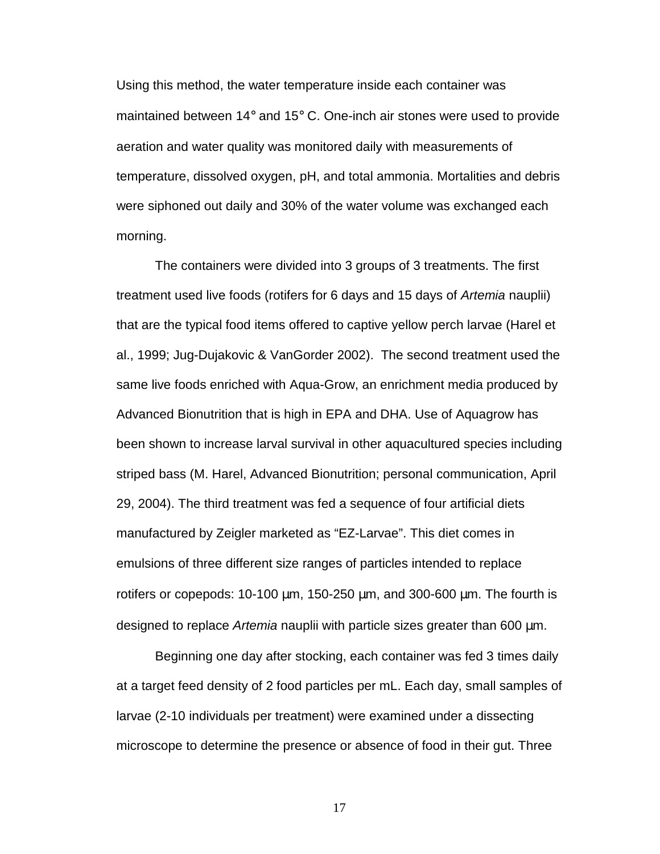Using this method, the water temperature inside each container was maintained between 14° and 15° C. One-inch air stones were used to provide aeration and water quality was monitored daily with measurements of temperature, dissolved oxygen, pH, and total ammonia. Mortalities and debris were siphoned out daily and 30% of the water volume was exchanged each morning.

The containers were divided into 3 groups of 3 treatments. The first treatment used live foods (rotifers for 6 days and 15 days of Artemia nauplii) that are the typical food items offered to captive yellow perch larvae (Harel et al., 1999; Jug-Dujakovic & VanGorder 2002). The second treatment used the same live foods enriched with Aqua-Grow, an enrichment media produced by Advanced Bionutrition that is high in EPA and DHA. Use of Aquagrow has been shown to increase larval survival in other aquacultured species including striped bass (M. Harel, Advanced Bionutrition; personal communication, April 29, 2004). The third treatment was fed a sequence of four artificial diets manufactured by Zeigler marketed as "EZ-Larvae". This diet comes in emulsions of three different size ranges of particles intended to replace rotifers or copepods: 10-100 µm, 150-250 µm, and 300-600 µm. The fourth is designed to replace Artemia nauplii with particle sizes greater than 600 µm.

Beginning one day after stocking, each container was fed 3 times daily at a target feed density of 2 food particles per mL. Each day, small samples of larvae (2-10 individuals per treatment) were examined under a dissecting microscope to determine the presence or absence of food in their gut. Three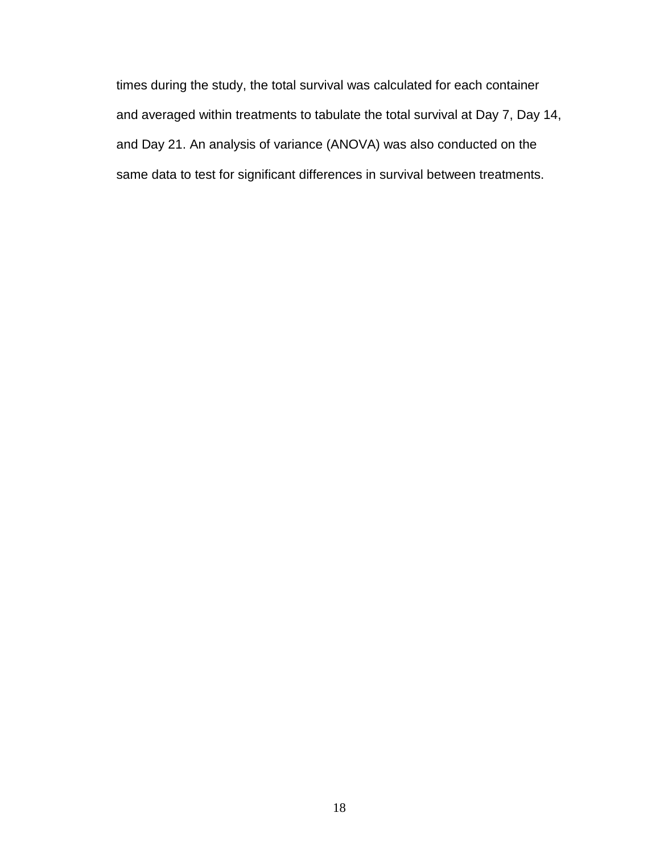times during the study, the total survival was calculated for each container and averaged within treatments to tabulate the total survival at Day 7, Day 14, and Day 21. An analysis of variance (ANOVA) was also conducted on the same data to test for significant differences in survival between treatments.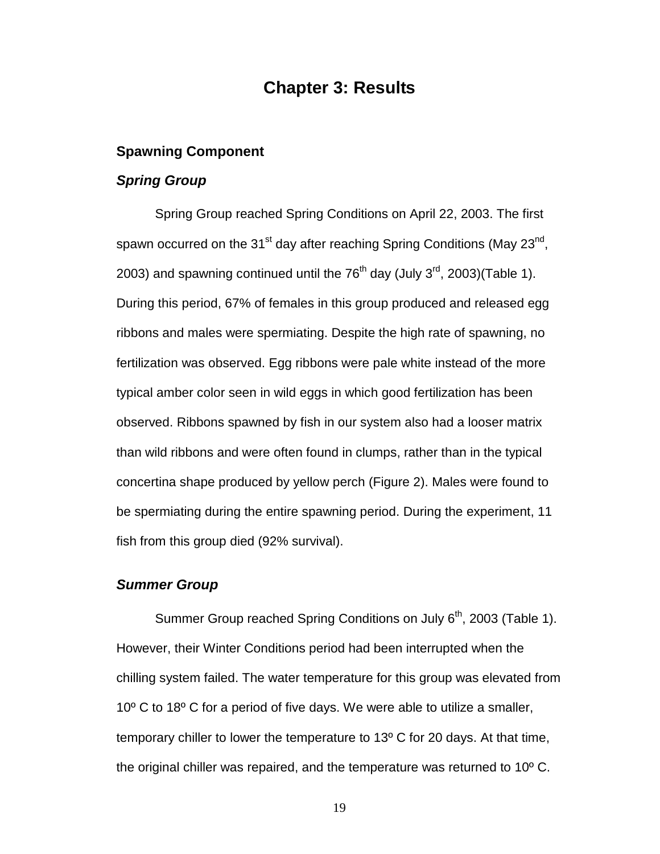### **Chapter 3: Results**

#### **Spawning Component**

#### **Spring Group**

Spring Group reached Spring Conditions on April 22, 2003. The first spawn occurred on the  $31<sup>st</sup>$  day after reaching Spring Conditions (May 23<sup>nd</sup>, 2003) and spawning continued until the  $76<sup>th</sup>$  day (July 3<sup>rd</sup>, 2003)(Table 1). During this period, 67% of females in this group produced and released egg ribbons and males were spermiating. Despite the high rate of spawning, no fertilization was observed. Egg ribbons were pale white instead of the more typical amber color seen in wild eggs in which good fertilization has been observed. Ribbons spawned by fish in our system also had a looser matrix than wild ribbons and were often found in clumps, rather than in the typical concertina shape produced by yellow perch (Figure 2). Males were found to be spermiating during the entire spawning period. During the experiment, 11 fish from this group died (92% survival).

### **Summer Group**

Summer Group reached Spring Conditions on July  $6<sup>th</sup>$ , 2003 (Table 1). However, their Winter Conditions period had been interrupted when the chilling system failed. The water temperature for this group was elevated from 10º C to 18º C for a period of five days. We were able to utilize a smaller, temporary chiller to lower the temperature to 13º C for 20 days. At that time, the original chiller was repaired, and the temperature was returned to 10º C.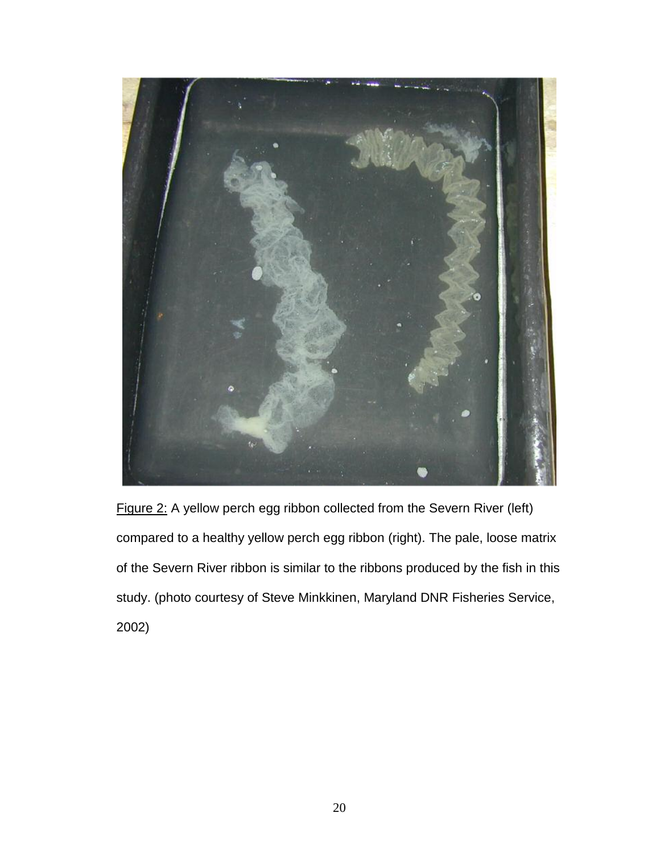

Figure 2: A yellow perch egg ribbon collected from the Severn River (left) compared to a healthy yellow perch egg ribbon (right). The pale, loose matrix of the Severn River ribbon is similar to the ribbons produced by the fish in this study. (photo courtesy of Steve Minkkinen, Maryland DNR Fisheries Service, 2002)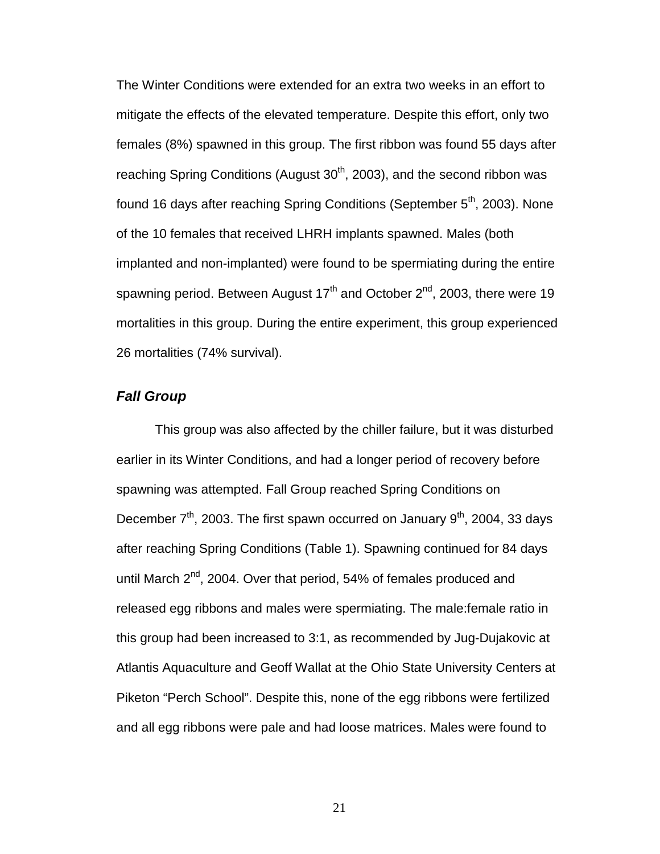The Winter Conditions were extended for an extra two weeks in an effort to mitigate the effects of the elevated temperature. Despite this effort, only two females (8%) spawned in this group. The first ribbon was found 55 days after reaching Spring Conditions (August 30<sup>th</sup>, 2003), and the second ribbon was found 16 days after reaching Spring Conditions (September  $5<sup>th</sup>$ , 2003). None of the 10 females that received LHRH implants spawned. Males (both implanted and non-implanted) were found to be spermiating during the entire spawning period. Between August  $17<sup>th</sup>$  and October  $2<sup>nd</sup>$ , 2003, there were 19 mortalities in this group. During the entire experiment, this group experienced 26 mortalities (74% survival).

### **Fall Group**

This group was also affected by the chiller failure, but it was disturbed earlier in its Winter Conditions, and had a longer period of recovery before spawning was attempted. Fall Group reached Spring Conditions on December  $7<sup>th</sup>$ , 2003. The first spawn occurred on January  $9<sup>th</sup>$ , 2004, 33 days after reaching Spring Conditions (Table 1). Spawning continued for 84 days until March  $2^{nd}$ , 2004. Over that period, 54% of females produced and released egg ribbons and males were spermiating. The male:female ratio in this group had been increased to 3:1, as recommended by Jug-Dujakovic at Atlantis Aquaculture and Geoff Wallat at the Ohio State University Centers at Piketon "Perch School". Despite this, none of the egg ribbons were fertilized and all egg ribbons were pale and had loose matrices. Males were found to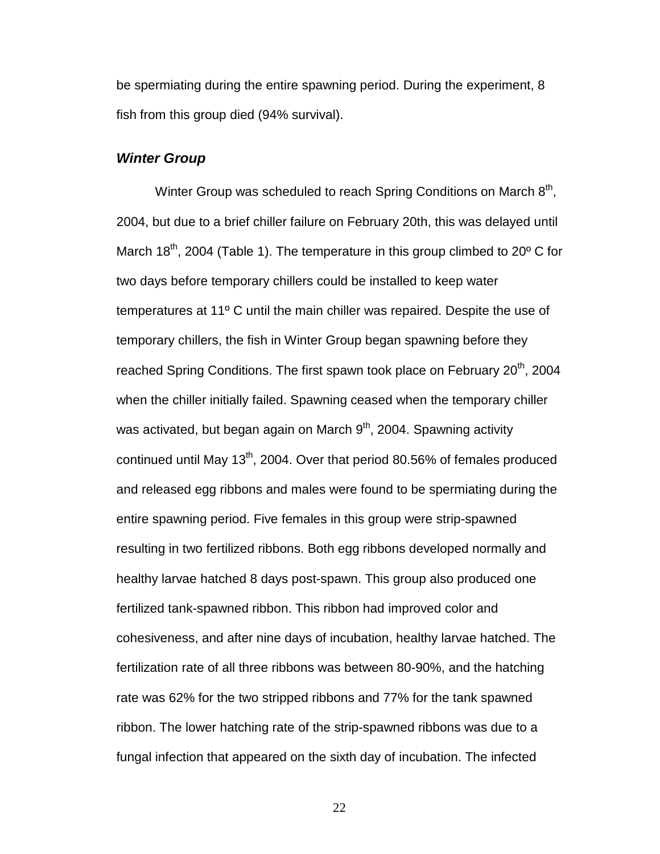be spermiating during the entire spawning period. During the experiment, 8 fish from this group died (94% survival).

#### **Winter Group**

Winter Group was scheduled to reach Spring Conditions on March 8<sup>th</sup>, 2004, but due to a brief chiller failure on February 20th, this was delayed until March 18<sup>th</sup>, 2004 (Table 1). The temperature in this group climbed to 20 $\degree$  C for two days before temporary chillers could be installed to keep water temperatures at 11º C until the main chiller was repaired. Despite the use of temporary chillers, the fish in Winter Group began spawning before they reached Spring Conditions. The first spawn took place on February 20<sup>th</sup>, 2004 when the chiller initially failed. Spawning ceased when the temporary chiller was activated, but began again on March  $9<sup>th</sup>$ , 2004. Spawning activity continued until May  $13<sup>th</sup>$ , 2004. Over that period 80.56% of females produced and released egg ribbons and males were found to be spermiating during the entire spawning period. Five females in this group were strip-spawned resulting in two fertilized ribbons. Both egg ribbons developed normally and healthy larvae hatched 8 days post-spawn. This group also produced one fertilized tank-spawned ribbon. This ribbon had improved color and cohesiveness, and after nine days of incubation, healthy larvae hatched. The fertilization rate of all three ribbons was between 80-90%, and the hatching rate was 62% for the two stripped ribbons and 77% for the tank spawned ribbon. The lower hatching rate of the strip-spawned ribbons was due to a fungal infection that appeared on the sixth day of incubation. The infected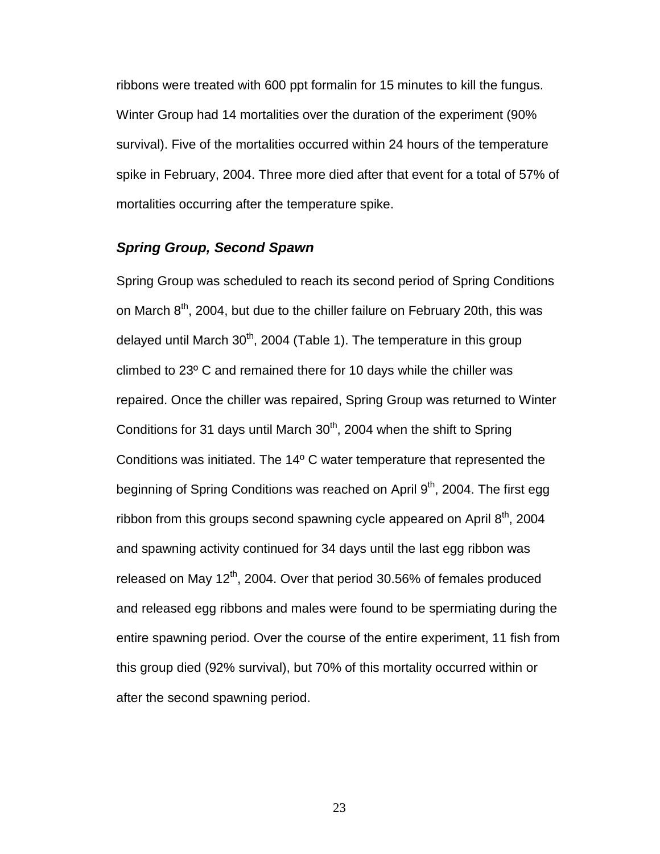ribbons were treated with 600 ppt formalin for 15 minutes to kill the fungus. Winter Group had 14 mortalities over the duration of the experiment (90% survival). Five of the mortalities occurred within 24 hours of the temperature spike in February, 2004. Three more died after that event for a total of 57% of mortalities occurring after the temperature spike.

### **Spring Group, Second Spawn**

Spring Group was scheduled to reach its second period of Spring Conditions on March  $8<sup>th</sup>$ , 2004, but due to the chiller failure on February 20th, this was delayed until March  $30<sup>th</sup>$ , 2004 (Table 1). The temperature in this group climbed to 23º C and remained there for 10 days while the chiller was repaired. Once the chiller was repaired, Spring Group was returned to Winter Conditions for 31 days until March  $30<sup>th</sup>$ , 2004 when the shift to Spring Conditions was initiated. The 14º C water temperature that represented the beginning of Spring Conditions was reached on April  $9<sup>th</sup>$ , 2004. The first egg ribbon from this groups second spawning cycle appeared on April  $8<sup>th</sup>$ , 2004 and spawning activity continued for 34 days until the last egg ribbon was released on May 12<sup>th</sup>, 2004. Over that period 30.56% of females produced and released egg ribbons and males were found to be spermiating during the entire spawning period. Over the course of the entire experiment, 11 fish from this group died (92% survival), but 70% of this mortality occurred within or after the second spawning period.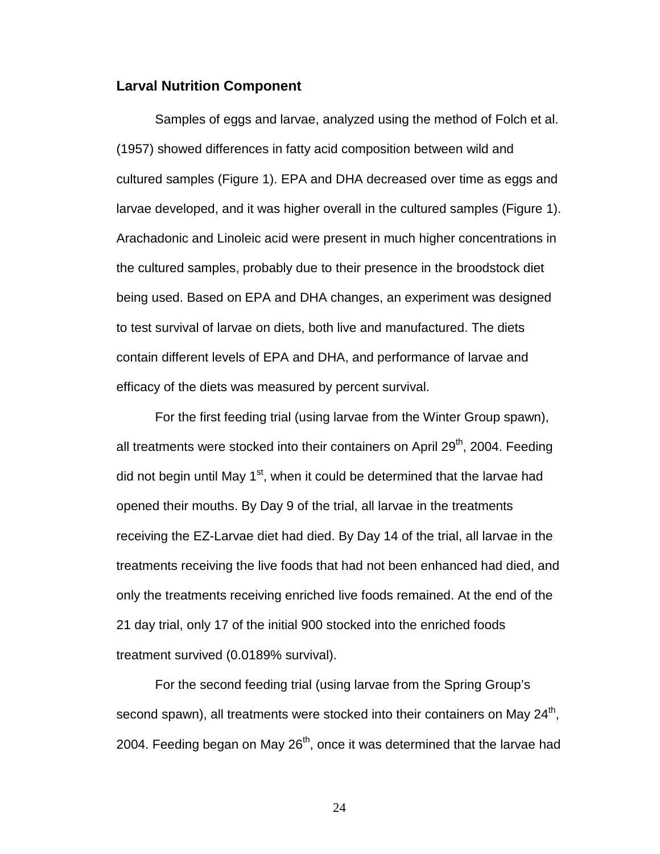#### **Larval Nutrition Component**

Samples of eggs and larvae, analyzed using the method of Folch et al. (1957) showed differences in fatty acid composition between wild and cultured samples (Figure 1). EPA and DHA decreased over time as eggs and larvae developed, and it was higher overall in the cultured samples (Figure 1). Arachadonic and Linoleic acid were present in much higher concentrations in the cultured samples, probably due to their presence in the broodstock diet being used. Based on EPA and DHA changes, an experiment was designed to test survival of larvae on diets, both live and manufactured. The diets contain different levels of EPA and DHA, and performance of larvae and efficacy of the diets was measured by percent survival.

For the first feeding trial (using larvae from the Winter Group spawn), all treatments were stocked into their containers on April 29<sup>th</sup>, 2004. Feeding did not begin until May  $1<sup>st</sup>$ , when it could be determined that the larvae had opened their mouths. By Day 9 of the trial, all larvae in the treatments receiving the EZ-Larvae diet had died. By Day 14 of the trial, all larvae in the treatments receiving the live foods that had not been enhanced had died, and only the treatments receiving enriched live foods remained. At the end of the 21 day trial, only 17 of the initial 900 stocked into the enriched foods treatment survived (0.0189% survival).

For the second feeding trial (using larvae from the Spring Group's second spawn), all treatments were stocked into their containers on May  $24<sup>th</sup>$ , 2004. Feeding began on May  $26<sup>th</sup>$ , once it was determined that the larvae had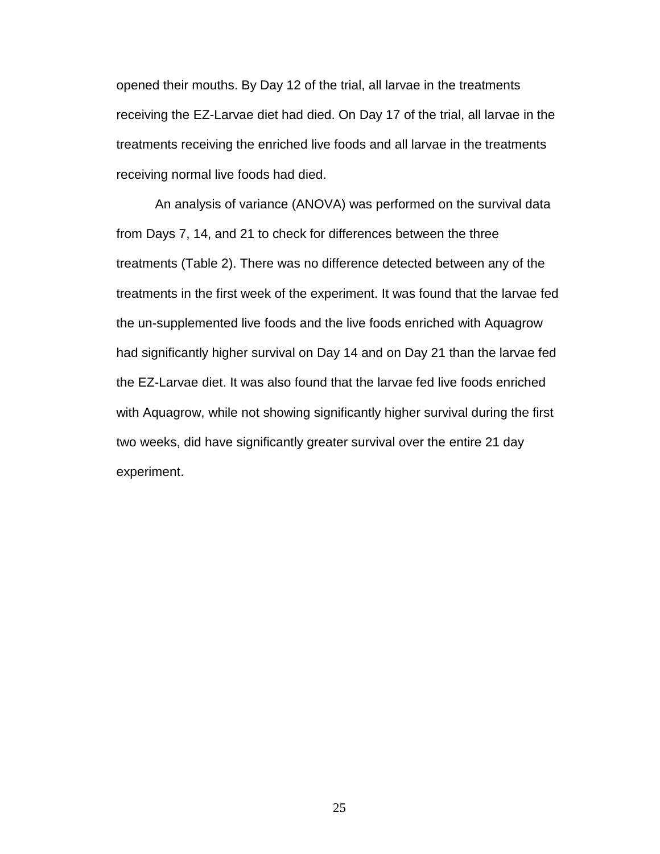opened their mouths. By Day 12 of the trial, all larvae in the treatments receiving the EZ-Larvae diet had died. On Day 17 of the trial, all larvae in the treatments receiving the enriched live foods and all larvae in the treatments receiving normal live foods had died.

An analysis of variance (ANOVA) was performed on the survival data from Days 7, 14, and 21 to check for differences between the three treatments (Table 2). There was no difference detected between any of the treatments in the first week of the experiment. It was found that the larvae fed the un-supplemented live foods and the live foods enriched with Aquagrow had significantly higher survival on Day 14 and on Day 21 than the larvae fed the EZ-Larvae diet. It was also found that the larvae fed live foods enriched with Aquagrow, while not showing significantly higher survival during the first two weeks, did have significantly greater survival over the entire 21 day experiment.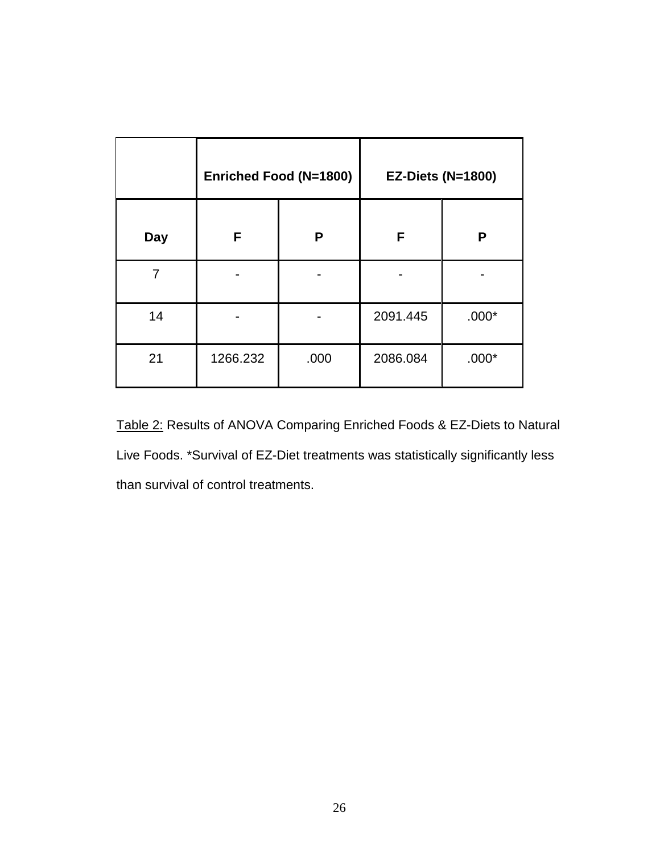|            | <b>Enriched Food (N=1800)</b> |      | <b>EZ-Diets (N=1800)</b> |         |
|------------|-------------------------------|------|--------------------------|---------|
| <b>Day</b> | F                             | P    | F                        | P       |
| 7          |                               |      |                          |         |
| 14         |                               |      | 2091.445                 | $.000*$ |
| 21         | 1266.232                      | .000 | 2086.084                 | $.000*$ |

Table 2: Results of ANOVA Comparing Enriched Foods & EZ-Diets to Natural Live Foods. \*Survival of EZ-Diet treatments was statistically significantly less than survival of control treatments.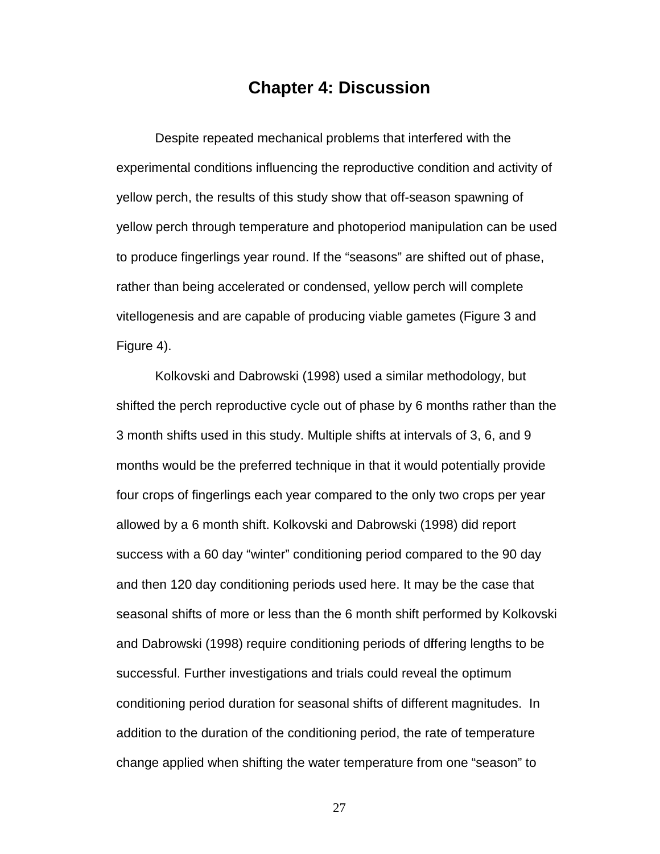### **Chapter 4: Discussion**

Despite repeated mechanical problems that interfered with the experimental conditions influencing the reproductive condition and activity of yellow perch, the results of this study show that off-season spawning of yellow perch through temperature and photoperiod manipulation can be used to produce fingerlings year round. If the "seasons" are shifted out of phase, rather than being accelerated or condensed, yellow perch will complete vitellogenesis and are capable of producing viable gametes (Figure 3 and Figure 4).

Kolkovski and Dabrowski (1998) used a similar methodology, but shifted the perch reproductive cycle out of phase by 6 months rather than the 3 month shifts used in this study. Multiple shifts at intervals of 3, 6, and 9 months would be the preferred technique in that it would potentially provide four crops of fingerlings each year compared to the only two crops per year allowed by a 6 month shift. Kolkovski and Dabrowski (1998) did report success with a 60 day "winter" conditioning period compared to the 90 day and then 120 day conditioning periods used here. It may be the case that seasonal shifts of more or less than the 6 month shift performed by Kolkovski and Dabrowski (1998) require conditioning periods of differing lengths to be successful. Further investigations and trials could reveal the optimum conditioning period duration for seasonal shifts of different magnitudes. In addition to the duration of the conditioning period, the rate of temperature change applied when shifting the water temperature from one "season" to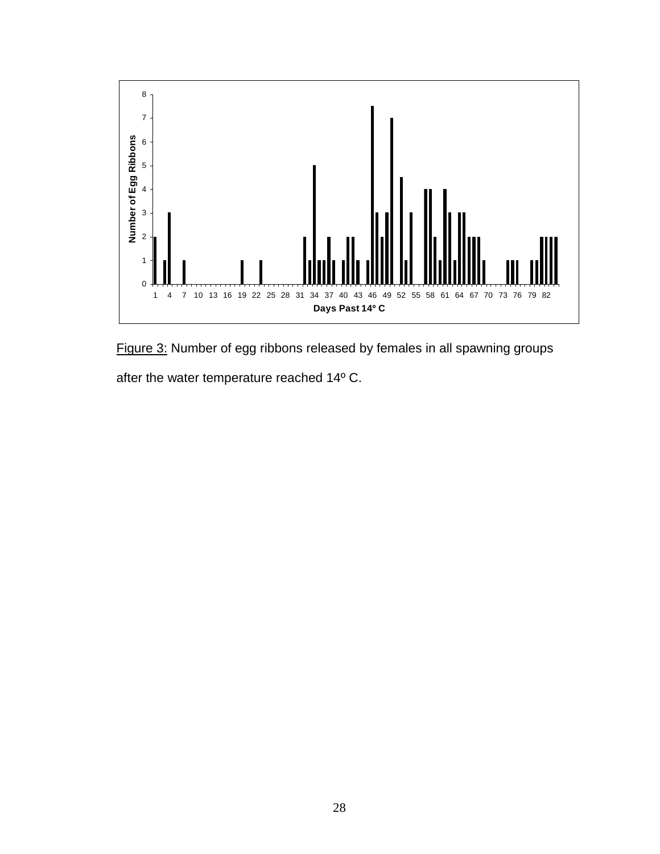

Figure 3: Number of egg ribbons released by females in all spawning groups

after the water temperature reached 14º C.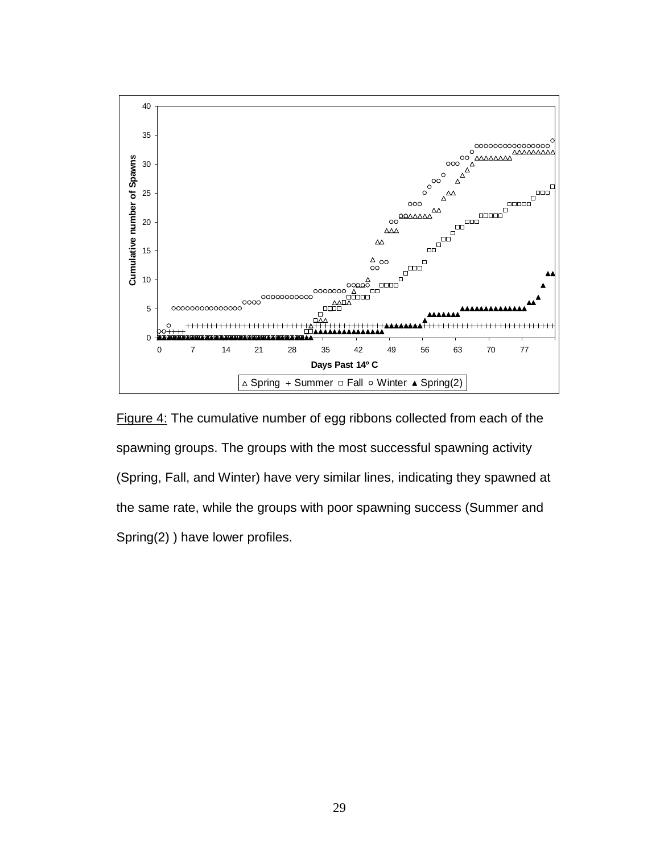![](_page_35_Figure_0.jpeg)

Figure 4: The cumulative number of egg ribbons collected from each of the spawning groups. The groups with the most successful spawning activity (Spring, Fall, and Winter) have very similar lines, indicating they spawned at the same rate, while the groups with poor spawning success (Summer and Spring(2) ) have lower profiles.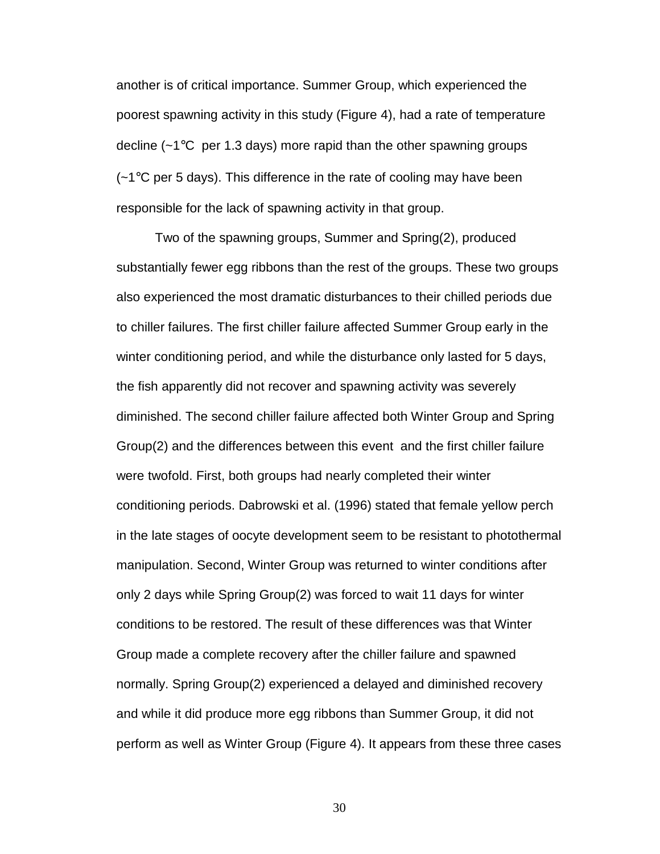another is of critical importance. Summer Group, which experienced the poorest spawning activity in this study (Figure 4), had a rate of temperature decline  $(-1)$ <sup>o</sup>C per 1.3 days) more rapid than the other spawning groups (~1°C per 5 days). This difference in the rate of cooling may have been responsible for the lack of spawning activity in that group.

Two of the spawning groups, Summer and Spring(2), produced substantially fewer egg ribbons than the rest of the groups. These two groups also experienced the most dramatic disturbances to their chilled periods due to chiller failures. The first chiller failure affected Summer Group early in the winter conditioning period, and while the disturbance only lasted for 5 days, the fish apparently did not recover and spawning activity was severely diminished. The second chiller failure affected both Winter Group and Spring Group(2) and the differences between this event and the first chiller failure were twofold. First, both groups had nearly completed their winter conditioning periods. Dabrowski et al. (1996) stated that female yellow perch in the late stages of oocyte development seem to be resistant to photothermal manipulation. Second, Winter Group was returned to winter conditions after only 2 days while Spring Group(2) was forced to wait 11 days for winter conditions to be restored. The result of these differences was that Winter Group made a complete recovery after the chiller failure and spawned normally. Spring Group(2) experienced a delayed and diminished recovery and while it did produce more egg ribbons than Summer Group, it did not perform as well as Winter Group (Figure 4). It appears from these three cases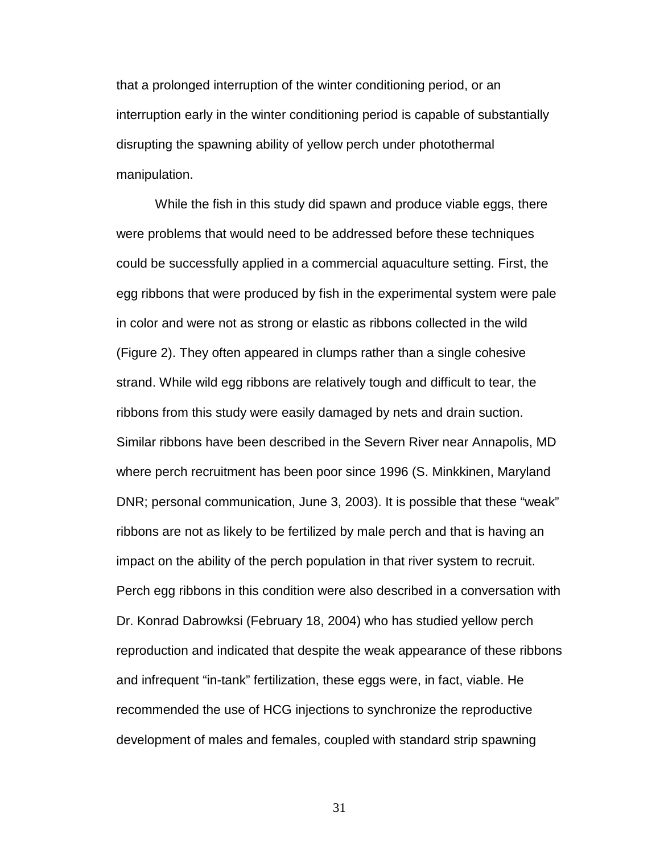that a prolonged interruption of the winter conditioning period, or an interruption early in the winter conditioning period is capable of substantially disrupting the spawning ability of yellow perch under photothermal manipulation.

While the fish in this study did spawn and produce viable eggs, there were problems that would need to be addressed before these techniques could be successfully applied in a commercial aquaculture setting. First, the egg ribbons that were produced by fish in the experimental system were pale in color and were not as strong or elastic as ribbons collected in the wild (Figure 2). They often appeared in clumps rather than a single cohesive strand. While wild egg ribbons are relatively tough and difficult to tear, the ribbons from this study were easily damaged by nets and drain suction. Similar ribbons have been described in the Severn River near Annapolis, MD where perch recruitment has been poor since 1996 (S. Minkkinen, Maryland DNR; personal communication, June 3, 2003). It is possible that these "weak" ribbons are not as likely to be fertilized by male perch and that is having an impact on the ability of the perch population in that river system to recruit. Perch egg ribbons in this condition were also described in a conversation with Dr. Konrad Dabrowksi (February 18, 2004) who has studied yellow perch reproduction and indicated that despite the weak appearance of these ribbons and infrequent "in-tank" fertilization, these eggs were, in fact, viable. He recommended the use of HCG injections to synchronize the reproductive development of males and females, coupled with standard strip spawning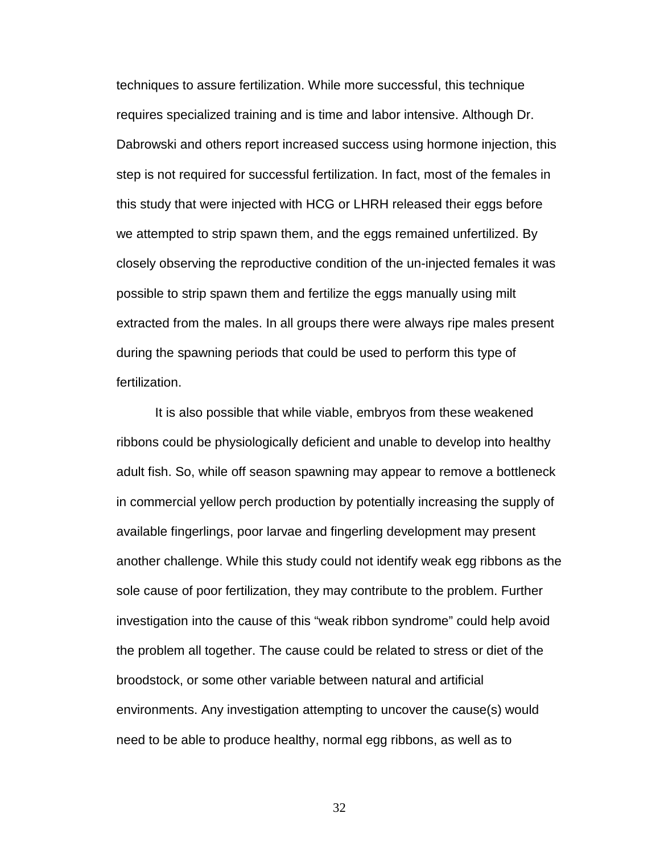techniques to assure fertilization. While more successful, this technique requires specialized training and is time and labor intensive. Although Dr. Dabrowski and others report increased success using hormone injection, this step is not required for successful fertilization. In fact, most of the females in this study that were injected with HCG or LHRH released their eggs before we attempted to strip spawn them, and the eggs remained unfertilized. By closely observing the reproductive condition of the un-injected females it was possible to strip spawn them and fertilize the eggs manually using milt extracted from the males. In all groups there were always ripe males present during the spawning periods that could be used to perform this type of fertilization.

It is also possible that while viable, embryos from these weakened ribbons could be physiologically deficient and unable to develop into healthy adult fish. So, while off season spawning may appear to remove a bottleneck in commercial yellow perch production by potentially increasing the supply of available fingerlings, poor larvae and fingerling development may present another challenge. While this study could not identify weak egg ribbons as the sole cause of poor fertilization, they may contribute to the problem. Further investigation into the cause of this "weak ribbon syndrome" could help avoid the problem all together. The cause could be related to stress or diet of the broodstock, or some other variable between natural and artificial environments. Any investigation attempting to uncover the cause(s) would need to be able to produce healthy, normal egg ribbons, as well as to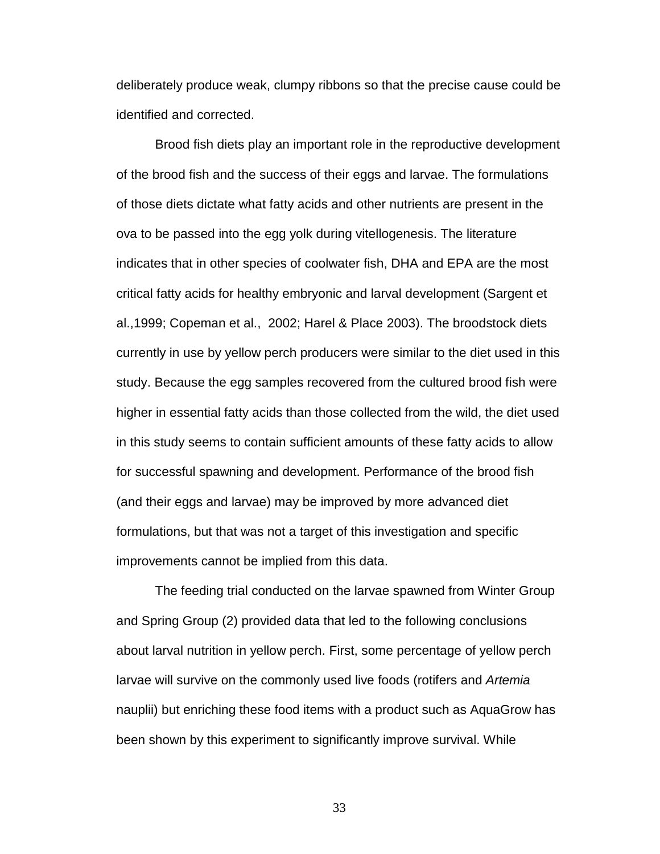deliberately produce weak, clumpy ribbons so that the precise cause could be identified and corrected.

Brood fish diets play an important role in the reproductive development of the brood fish and the success of their eggs and larvae. The formulations of those diets dictate what fatty acids and other nutrients are present in the ova to be passed into the egg yolk during vitellogenesis. The literature indicates that in other species of coolwater fish, DHA and EPA are the most critical fatty acids for healthy embryonic and larval development (Sargent et al.,1999; Copeman et al., 2002; Harel & Place 2003). The broodstock diets currently in use by yellow perch producers were similar to the diet used in this study. Because the egg samples recovered from the cultured brood fish were higher in essential fatty acids than those collected from the wild, the diet used in this study seems to contain sufficient amounts of these fatty acids to allow for successful spawning and development. Performance of the brood fish (and their eggs and larvae) may be improved by more advanced diet formulations, but that was not a target of this investigation and specific improvements cannot be implied from this data.

The feeding trial conducted on the larvae spawned from Winter Group and Spring Group (2) provided data that led to the following conclusions about larval nutrition in yellow perch. First, some percentage of yellow perch larvae will survive on the commonly used live foods (rotifers and Artemia nauplii) but enriching these food items with a product such as AquaGrow has been shown by this experiment to significantly improve survival. While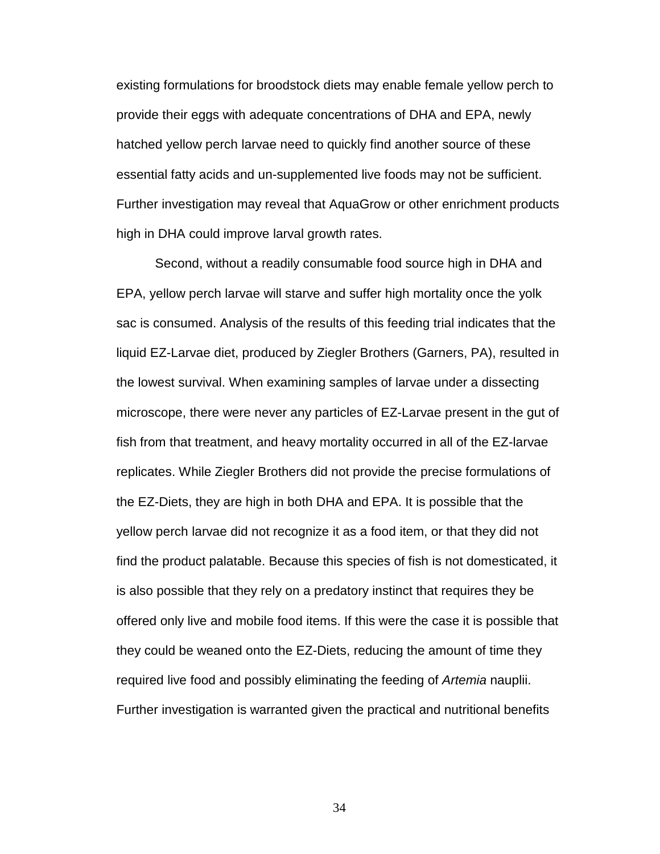existing formulations for broodstock diets may enable female yellow perch to provide their eggs with adequate concentrations of DHA and EPA, newly hatched yellow perch larvae need to quickly find another source of these essential fatty acids and un-supplemented live foods may not be sufficient. Further investigation may reveal that AquaGrow or other enrichment products high in DHA could improve larval growth rates.

Second, without a readily consumable food source high in DHA and EPA, yellow perch larvae will starve and suffer high mortality once the yolk sac is consumed. Analysis of the results of this feeding trial indicates that the liquid EZ-Larvae diet, produced by Ziegler Brothers (Garners, PA), resulted in the lowest survival. When examining samples of larvae under a dissecting microscope, there were never any particles of EZ-Larvae present in the gut of fish from that treatment, and heavy mortality occurred in all of the EZ-larvae replicates. While Ziegler Brothers did not provide the precise formulations of the EZ-Diets, they are high in both DHA and EPA. It is possible that the yellow perch larvae did not recognize it as a food item, or that they did not find the product palatable. Because this species of fish is not domesticated, it is also possible that they rely on a predatory instinct that requires they be offered only live and mobile food items. If this were the case it is possible that they could be weaned onto the EZ-Diets, reducing the amount of time they required live food and possibly eliminating the feeding of Artemia nauplii. Further investigation is warranted given the practical and nutritional benefits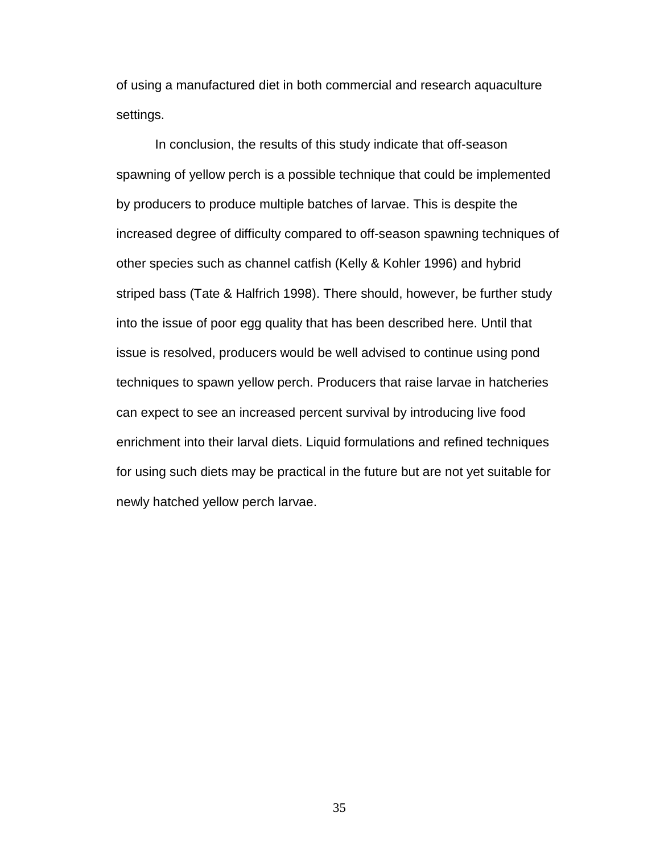of using a manufactured diet in both commercial and research aquaculture settings.

In conclusion, the results of this study indicate that off-season spawning of yellow perch is a possible technique that could be implemented by producers to produce multiple batches of larvae. This is despite the increased degree of difficulty compared to off-season spawning techniques of other species such as channel catfish (Kelly & Kohler 1996) and hybrid striped bass (Tate & Halfrich 1998). There should, however, be further study into the issue of poor egg quality that has been described here. Until that issue is resolved, producers would be well advised to continue using pond techniques to spawn yellow perch. Producers that raise larvae in hatcheries can expect to see an increased percent survival by introducing live food enrichment into their larval diets. Liquid formulations and refined techniques for using such diets may be practical in the future but are not yet suitable for newly hatched yellow perch larvae.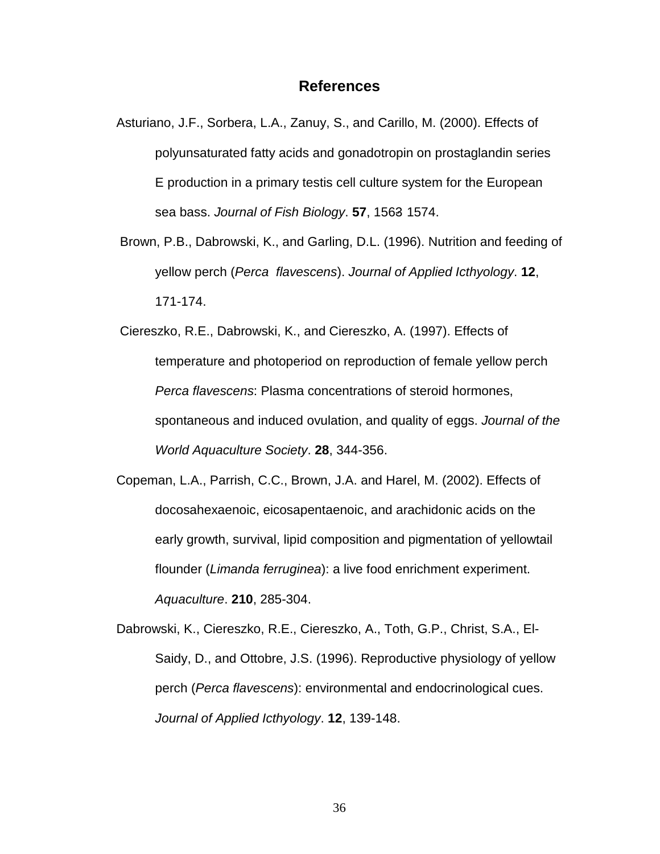### **References**

- Asturiano, J.F., Sorbera, L.A., Zanuy, S., and Carillo, M. (2000). Effects of polyunsaturated fatty acids and gonadotropin on prostaglandin series E production in a primary testis cell culture system for the European sea bass. Journal of Fish Biology. **57**, 1563- 1574.
- Brown, P.B., Dabrowski, K., and Garling, D.L. (1996). Nutrition and feeding of yellow perch (Perca flavescens). Journal of Applied Icthyology. **12**, 171-174.
- Ciereszko, R.E., Dabrowski, K., and Ciereszko, A. (1997). Effects of temperature and photoperiod on reproduction of female yellow perch Perca flavescens: Plasma concentrations of steroid hormones, spontaneous and induced ovulation, and quality of eggs. Journal of the World Aquaculture Society. **28**, 344-356.
- Copeman, L.A., Parrish, C.C., Brown, J.A. and Harel, M. (2002). Effects of docosahexaenoic, eicosapentaenoic, and arachidonic acids on the early growth, survival, lipid composition and pigmentation of yellowtail flounder (Limanda ferruginea): a live food enrichment experiment. Aquaculture. **210**, 285-304.
- Dabrowski, K., Ciereszko, R.E., Ciereszko, A., Toth, G.P., Christ, S.A., El-Saidy, D., and Ottobre, J.S. (1996). Reproductive physiology of yellow perch (Perca flavescens): environmental and endocrinological cues. Journal of Applied Icthyology. **12**, 139-148.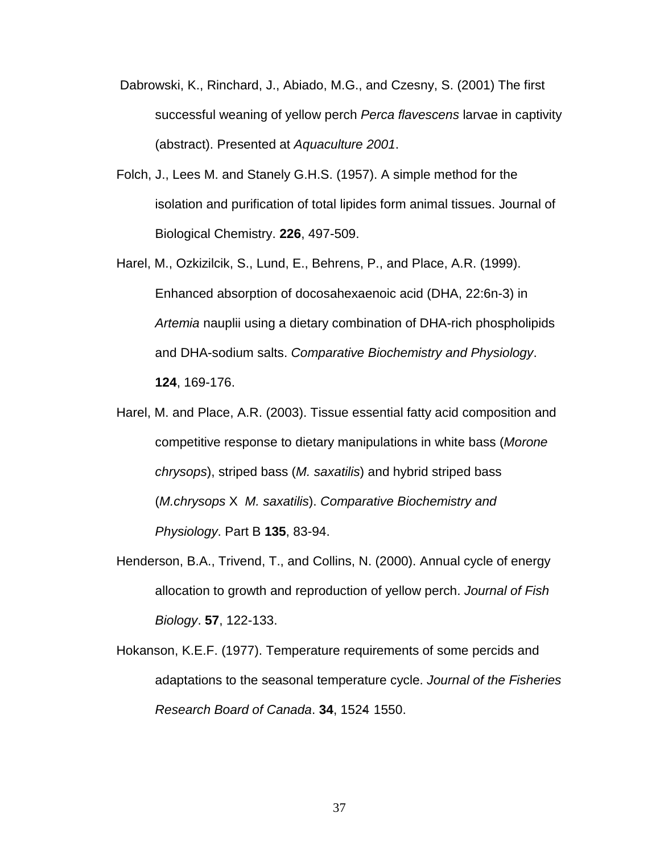- Dabrowski, K., Rinchard, J., Abiado, M.G., and Czesny, S. (2001) The first successful weaning of yellow perch Perca flavescens larvae in captivity (abstract). Presented at Aquaculture 2001.
- Folch, J., Lees M. and Stanely G.H.S. (1957). A simple method for the isolation and purification of total lipides form animal tissues. Journal of Biological Chemistry. **226**, 497-509.
- Harel, M., Ozkizilcik, S., Lund, E., Behrens, P., and Place, A.R. (1999). Enhanced absorption of docosahexaenoic acid (DHA, 22:6n-3) in Artemia nauplii using a dietary combination of DHA-rich phospholipids and DHA-sodium salts. Comparative Biochemistry and Physiology. **124**, 169-176.
- Harel, M. and Place, A.R. (2003). Tissue essential fatty acid composition and competitive response to dietary manipulations in white bass (Morone chrysops), striped bass (M. saxatilis) and hybrid striped bass (M.chrysops X M. saxatilis). Comparative Biochemistry and Physiology. Part B **135**, 83-94.
- Henderson, B.A., Trivend, T., and Collins, N. (2000). Annual cycle of energy allocation to growth and reproduction of yellow perch. Journal of Fish Biology. **57**, 122-133.
- Hokanson, K.E.F. (1977). Temperature requirements of some percids and adaptations to the seasonal temperature cycle. Journal of the Fisheries Research Board of Canada. **34**, 1524- 1550.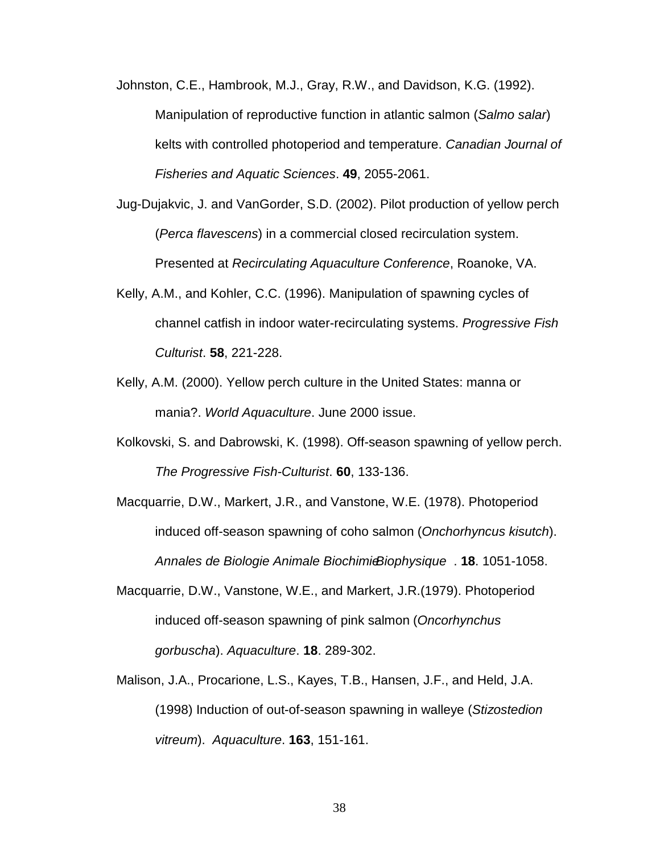Johnston, C.E., Hambrook, M.J., Gray, R.W., and Davidson, K.G. (1992). Manipulation of reproductive function in atlantic salmon (Salmo salar) kelts with controlled photoperiod and temperature. Canadian Journal of Fisheries and Aquatic Sciences. **49**, 2055-2061.

- Jug-Dujakvic, J. and VanGorder, S.D. (2002). Pilot production of yellow perch (Perca flavescens) in a commercial closed recirculation system. Presented at Recirculating Aquaculture Conference, Roanoke, VA.
- Kelly, A.M., and Kohler, C.C. (1996). Manipulation of spawning cycles of channel catfish in indoor water-recirculating systems. Progressive Fish Culturist. **58**, 221-228.
- Kelly, A.M. (2000). Yellow perch culture in the United States: manna or mania?. World Aquaculture. June 2000 issue.
- Kolkovski, S. and Dabrowski, K. (1998). Off-season spawning of yellow perch. The Progressive Fish-Culturist. **60**, 133-136.

Macquarrie, D.W., Markert, J.R., and Vanstone, W.E. (1978). Photoperiod induced off-season spawning of coho salmon (Onchorhyncus kisutch). Annales de Biologie Animale Biochimie Biophysique . **18**. 1051-1058.

- Macquarrie, D.W., Vanstone, W.E., and Markert, J.R.(1979). Photoperiod induced off-season spawning of pink salmon (Oncorhynchus gorbuscha). Aquaculture. **18**. 289-302.
- Malison, J.A., Procarione, L.S., Kayes, T.B., Hansen, J.F., and Held, J.A. (1998) Induction of out-of-season spawning in walleye (Stizostedion vitreum). Aquaculture. **163**, 151-161.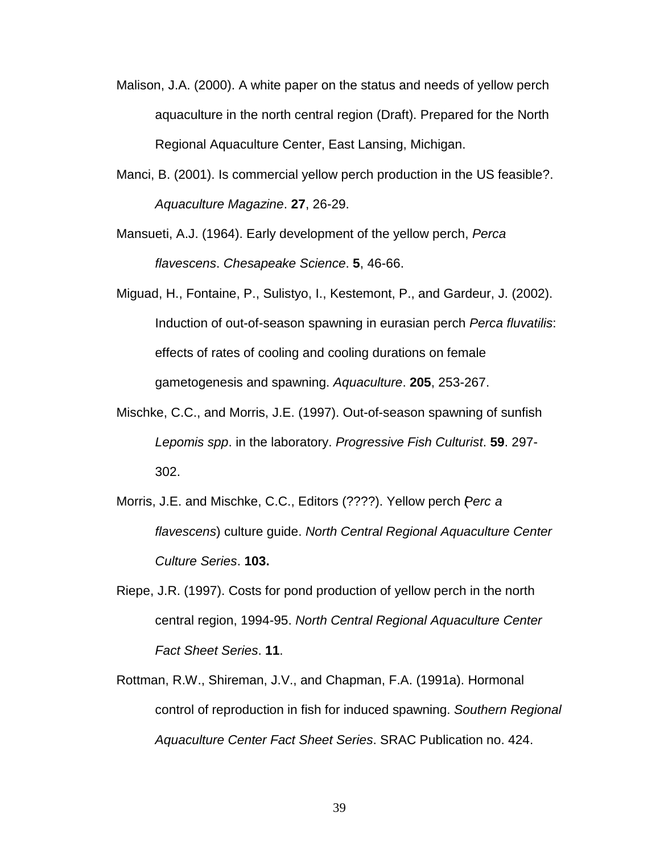- Malison, J.A. (2000). A white paper on the status and needs of yellow perch aquaculture in the north central region (Draft). Prepared for the North Regional Aquaculture Center, East Lansing, Michigan.
- Manci, B. (2001). Is commercial yellow perch production in the US feasible?. Aquaculture Magazine. **27**, 26-29.
- Mansueti, A.J. (1964). Early development of the yellow perch, Perca flavescens. Chesapeake Science. **5**, 46-66.
- Miguad, H., Fontaine, P., Sulistyo, I., Kestemont, P., and Gardeur, J. (2002). Induction of out-of-season spawning in eurasian perch Perca fluvatilis: effects of rates of cooling and cooling durations on female gametogenesis and spawning. Aquaculture. **205**, 253-267.
- Mischke, C.C., and Morris, J.E. (1997). Out-of-season spawning of sunfish Lepomis spp. in the laboratory. Progressive Fish Culturist. **59**. 297- 302.
- Morris, J.E. and Mischke, C.C., Editors (????). Yellow perch *Perc a* flavescens) culture guide. North Central Regional Aquaculture Center Culture Series. **103.**
- Riepe, J.R. (1997). Costs for pond production of yellow perch in the north central region, 1994-95. North Central Regional Aquaculture Center Fact Sheet Series. **11**.
- Rottman, R.W., Shireman, J.V., and Chapman, F.A. (1991a). Hormonal control of reproduction in fish for induced spawning. Southern Regional Aquaculture Center Fact Sheet Series. SRAC Publication no. 424.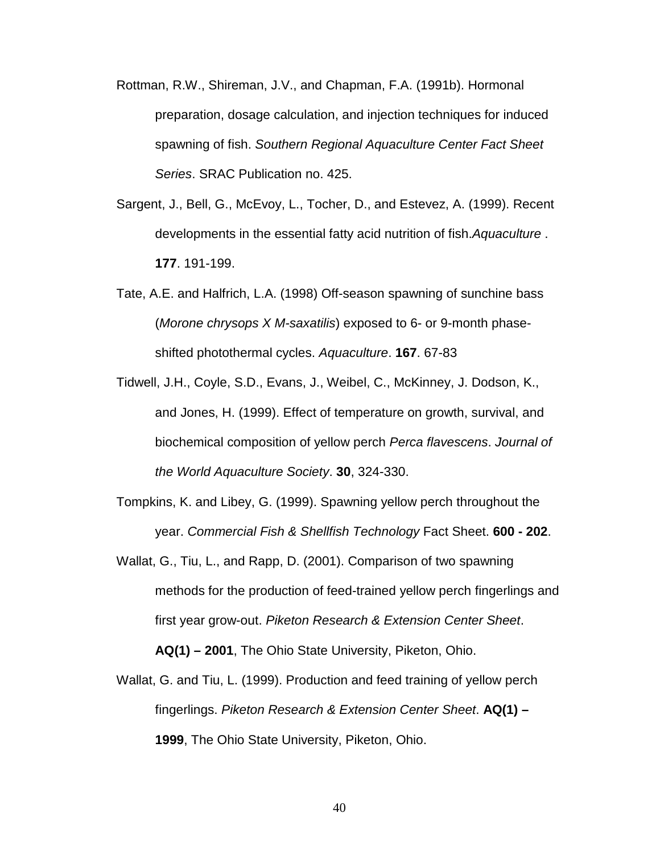- Rottman, R.W., Shireman, J.V., and Chapman, F.A. (1991b). Hormonal preparation, dosage calculation, and injection techniques for induced spawning of fish. Southern Regional Aquaculture Center Fact Sheet Series. SRAC Publication no. 425.
- Sargent, J., Bell, G., McEvoy, L., Tocher, D., and Estevez, A. (1999). Recent developments in the essential fatty acid nutrition of fish. Aquaculture. **177**. 191-199.
- Tate, A.E. and Halfrich, L.A. (1998) Off-season spawning of sunchine bass (Morone chrysops X M-saxatilis) exposed to 6- or 9-month phaseshifted photothermal cycles. Aquaculture. **167**. 67-83
- Tidwell, J.H., Coyle, S.D., Evans, J., Weibel, C., McKinney, J. Dodson, K., and Jones, H. (1999). Effect of temperature on growth, survival, and biochemical composition of yellow perch Perca flavescens. Journal of the World Aquaculture Society. **30**, 324-330.
- Tompkins, K. and Libey, G. (1999). Spawning yellow perch throughout the year. Commercial Fish & Shellfish Technology Fact Sheet. **600 - 202**.
- Wallat, G., Tiu, L., and Rapp, D. (2001). Comparison of two spawning methods for the production of feed-trained yellow perch fingerlings and first year grow-out. Piketon Research & Extension Center Sheet. **AQ(1) – 2001**, The Ohio State University, Piketon, Ohio.
- Wallat, G. and Tiu, L. (1999). Production and feed training of yellow perch fingerlings. Piketon Research & Extension Center Sheet. **AQ(1) – 1999**, The Ohio State University, Piketon, Ohio.